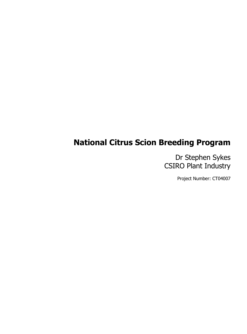## **National Citrus Scion Breeding Program**

Dr Stephen Sykes CSIRO Plant Industry

Project Number: CT04007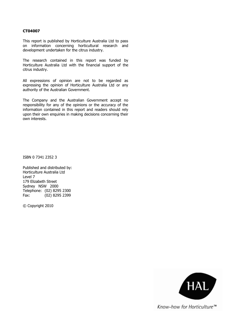#### **CT04007**

This report is published by Horticulture Australia Ltd to pass on information concerning horticultural research and development undertaken for the citrus industry.

The research contained in this report was funded by Horticulture Australia Ltd with the financial support of the citrus industry.

All expressions of opinion are not to be regarded as expressing the opinion of Horticulture Australia Ltd or any authority of the Australian Government.

The Company and the Australian Government accept no responsibility for any of the opinions or the accuracy of the information contained in this report and readers should rely upon their own enquiries in making decisions concerning their own interests.

ISBN 0 7341 2352 3

Published and distributed by: Horticulture Australia Ltd Level 7 179 Elizabeth Street Sydney NSW 2000 Telephone: (02) 8295 2300 Fax: (02) 8295 2399

© Copyright 2010



Know-how for Horticulture™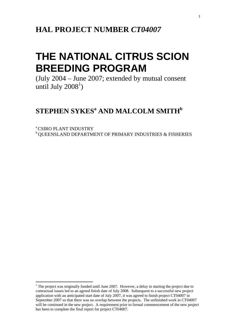# **THE NATIONAL CITRUS SCION BREEDING PROGRAM**

(July 2004 – June 2007; extended by mutual consent until July  $2008<sup>1</sup>$ )

## $\mathbf{STEPHEN}\ \mathbf{SYKES}^{\mathrm{a}}$  and  $\mathbf{MALCOLM}\ \mathbf{SMITH}^{\mathrm{b}}$

a CSIRO PLANT INDUSTRY **b** QUEENSLAND DEPARTMENT OF PRIMARY INDUSTRIES & FISHERIES

 $\overline{a}$ 

 $1$  The project was originally funded until June 2007. However, a delay in starting the project due to contractual issues led to an agreed finish date of July 2008. Subsequent to a successful new project application with an anticipated start date of July 2007, it was agreed to finish project CT04007 in September 2007 so that there was no overlap between the projects. The unfinished work in CT04007 will be continued in the new project. A requirement prior to formal commencement of the new project has been to complete the final report for project CT04007.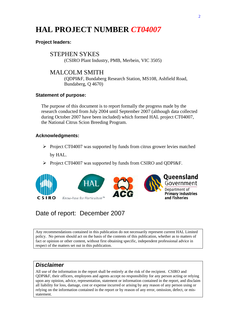## **HAL PROJECT NUMBER** *CT04007*

### **Project leaders:**

STEPHEN SYKES (CSIRO Plant Industry, PMB, Merbein, VIC 3505)

## MALCOLM SMITH

(QDPI&F, Bundaberg Research Station, MS108, Ashfield Road, Bundaberg, Q 4670)

#### **Statement of purpose:**

The purpose of this document is to report formally the progress made by the research conducted from July 2004 until September 2007 (although data collected during October 2007 have been included) which formed HAL project CT04007, the National Citrus Scion Breeding Program.

### **Acknowledgments:**

- $\triangleright$  Project CT04007 was supported by funds from citrus grower levies matched by HAL.
- ¾ Project CT04007 was supported by funds from CSIRO and QDPI&F.



## Date of report: December 2007

Any recommendations contained in this publication do not necessarily represent current HAL Limited policy. No person should act on the basis of the contents of this publication, whether as to matters of fact or opinion or other content, without first obtaining specific, independent professional advice in respect of the matters set out in this publication.

### *Disclaimer*

All use of the information in the report shall be entirely at the risk of the recipient. CSIRO and QDPI&F, their officers, employees and agents accept no responsibility for any person acting or relying upon any opinion, advice, representation, statement or information contained in the report, and disclaim all liability for loss, damage, cost or expense incurred or arising by any reason of any person using or relying on the information contained in the report or by reason of any error, omission, defect, or misstatement.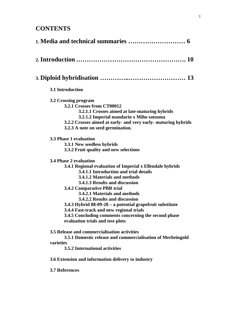## **CONTENTS**

| 3.1 Introduction                                                                                                                                                                                                                                                                                                                                                                                                                                                                                                                                                                                                                                                                                                                                                                                                                                                                                                                                                                                                |
|-----------------------------------------------------------------------------------------------------------------------------------------------------------------------------------------------------------------------------------------------------------------------------------------------------------------------------------------------------------------------------------------------------------------------------------------------------------------------------------------------------------------------------------------------------------------------------------------------------------------------------------------------------------------------------------------------------------------------------------------------------------------------------------------------------------------------------------------------------------------------------------------------------------------------------------------------------------------------------------------------------------------|
| 3.2 Crossing program<br>3.2.1 Crosses from CT00012<br>3.2.1.1 Crosses aimed at late-maturing hybrids<br>3.2.1.2 Imperial mandarin x Miho satsuma<br>3.2.2 Crosses aimed at early- and very early- maturing hybrids<br>3.2.3 A note on seed germination.<br><b>3.3 Phase 1 evaluation</b><br>3.3.1 New seedless hybrids<br>3.3.2 Fruit quality and new selections<br><b>3.4 Phase 2 evaluation</b><br>3.4.1 Regional evaluation of Imperial x Ellendale hybrids<br>3.4.1.1 Introduction and trial details<br>3.4.1.2 Materials and methods<br>3.4.1.3 Results and discussion<br>3.4.2 Comparative PBR trial<br>3.4.2.1 Materials and methods<br>3.4.2.2 Results and discussion<br>3.4.3 Hybrid 88-09-28 – a potential grapefruit substitute<br>3.4.4 Fast-track and new regional trials<br>3.4.5 Concluding comments concerning the second phase<br>evaluation trials and test-plots<br>3.5 Release and commercialisation activities<br>3.5.1 Domestic release and commercialisation of Merbeingold<br>varieties |
| 3.5.2 International activities                                                                                                                                                                                                                                                                                                                                                                                                                                                                                                                                                                                                                                                                                                                                                                                                                                                                                                                                                                                  |
| 3.6 Extension and information delivery to industry                                                                                                                                                                                                                                                                                                                                                                                                                                                                                                                                                                                                                                                                                                                                                                                                                                                                                                                                                              |
| <b>3.7 References</b>                                                                                                                                                                                                                                                                                                                                                                                                                                                                                                                                                                                                                                                                                                                                                                                                                                                                                                                                                                                           |
|                                                                                                                                                                                                                                                                                                                                                                                                                                                                                                                                                                                                                                                                                                                                                                                                                                                                                                                                                                                                                 |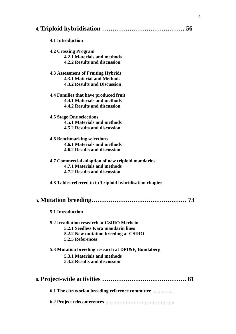|--|--|--|

#### **4.1 Introduction**

## **4.2 Crossing Program**

**4.2.1 Materials and methods** 

**4.2.2 Results and discussion** 

#### **4.3 Assessment of Fruiting Hybrids 4.3.1 Material and Methods 4.3.2 Results and Discussion**

#### **4.4 Families that have produced fruit 4.4.1 Materials and methods 4.4.2 Results and discussion**

#### **4.5 Stage One selections 4.5.1 Materials and methods 4.5.2 Results and discussion**

**4.6 Benchmarking selections 4.6.1 Materials and methods 4.6.2 Results and discussion** 

- **4.7 Commercial adoption of new triploid mandarins 4.7.1 Materials and methods 4.7.2 Results and discussion**
- **4.8 Tables referred to in Triploid hybridisation chapter**

## **5. Mutation breeding……………………………………… 73**

| <b>5.1 Introduction</b> |
|-------------------------|
|                         |

#### **5.2 Irradiation research at CSIRO Merbein 5.2.1 Seedless Kara mandarin lines 5.2.2 New mutation breeding at CSIRO 5.2.5 References**

#### **5.3 Mutation breeding research at DPI&F, Bundaberg**

 **5.3.1 Materials and methods** 

 **5.3.2 Results and discussion** 

|--|--|--|

**6.1 The citrus scion breeding reference committee …………..** 

**6.2 Project teleconferences ……………………………………..**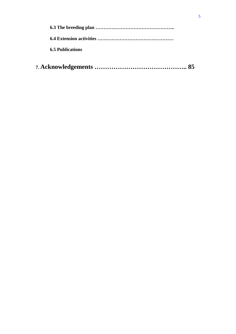| 6.5 Publications |
|------------------|
|                  |

|--|--|--|--|--|--|--|--|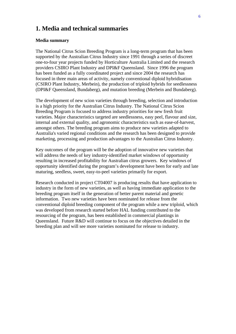## **1. Media and technical summaries**

#### **Media summary**

The National Citrus Scion Breeding Program is a long-term program that has been supported by the Australian Citrus Industry since 1991 through a series of discreet one-to-four year projects funded by Horticulture Australia Limited and the research providers CSIRO Plant Industry and DPI&F Queensland. Since 1996 the program has been funded as a fully coordinated project and since 2004 the research has focused in three main areas of activity, namely conventional diploid hybridisation (CSIRO Plant Industry, Merbein), the production of triploid hybrids for seedlessness (DPI&F Queensland, Bundaberg), and mutation breeding (Merbein and Bundaberg).

The development of new scion varieties through breeding, selection and introduction is a high priority for the Australian Citrus Industry. The National Citrus Scion Breeding Program is focused to address industry priorities for new fresh fruit varieties. Major characteristics targeted are seedlessness, easy peel, flavour and size, internal and external quality, and agronomic characteristics such as ease-of-harvest, amongst others. The breeding program aims to produce new varieties adapted to Australia's varied regional conditions and the research has been designed to provide marketing, processing and production advantages to the Australian Citrus Industry.

Key outcomes of the program will be the adoption of innovative new varieties that will address the needs of key industry-identified market windows of opportunity resulting in increased profitability for Australian citrus growers. Key windows of opportunity identified during the program's development have been for early and late maturing, seedless, sweet, easy-to-peel varieties primarily for export.

Research conducted in project CT04007 is producing results that have application to industry in the form of new varieties, as well as having immediate application to the breeding program itself in the generation of better parent material and genetic information. Two new varieties have been nominated for release from the conventional diploid breeding component of the program while a new triploid, which was developed from research started before HAL funding contributed to the resourcing of the program, has been established in commercial plantings in Queensland. Future R&D will continue to focus on the objectives detailed in the breeding plan and will see more varieties nominated for release to industry.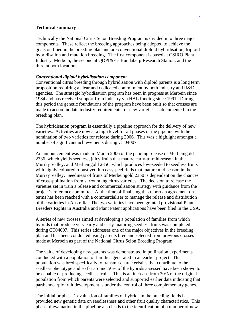#### **Technical summary**

Technically the National Citrus Scion Breeding Program is divided into three major components. These reflect the breeding approaches being adopted to achieve the goals outlined in the breeding plan and are conventional diploid hybridisation, triploid hybridisation and mutation breeding. The first component is based at CSIRO Plant Industry, Merbein, the second at QDPI&F's Bundaberg Research Station, and the third at both locations.

#### *Conventional diploid hybridisation component*

Conventional citrus breeding through hybridisation with diploid parents is a long term proposition requiring a clear and dedicated commitment by both industry and R&D agencies. The strategic hybridisation program has been in progress at Merbein since 1984 and has received support from industry via HAL funding since 1991. During this period the genetic foundations of the program have been built so that crosses are made to accommodate industry requirements for new varieties as documented in the breeding plan.

The hybridisation program is essentially a pipeline approach for the delivery of new varieties. Activities are now at a high level for all phases of the pipeline with the nomination of two varieties for release during 2006. This was a highlight amongst a number of significant achievements during CT04007.

An announcement was made in March 2006 of the pending release of Merbeingold 2336, which yields seedless, juicy fruits that mature early-to-mid-season in the Murray Valley, and Merbeingold 2350, which produces low-seeded to seedless fruits with highly coloured robust yet thin easy-peel rinds that mature mid-season in the Murray Valley. Seediness of fruits of Merbeingold 2350 is dependent on the chances of cross-pollination from surrounding citrus varieties. The decision to release the varieties set in train a release and commercialisation strategy with guidance from the project's reference committee. At the time of finalising this report an agreement on terms has been reached with a commercialiser to manage the release and distribution of the varieties in Australia. The two varieties have been granted provisional Plant Breeders Rights in Australia and Plant Patent applications have been filed in the USA.

A series of new crosses aimed at developing a population of families from which hybrids that produce very early and early-maturing seedless fruits was completed during CT04007. This series addresses one of the major objectives in the breeding plan and has been conducted using parents bred and selected from previous crosses made at Merbein as part of the National Citrus Scion Breeding Program.

The value of developing new parents was demonstrated in pollination experiments conducted with a population of families generated in an earlier project. This population was bred specifically to transmit characteristics that contribute to the seedless phenotype and so far around 50% of the hybrids assessed have been shown to be capable of producing seedless fruits. This is an increase from 30% of the original population from which parents were selected and supported earlier data indicating that parthenocarpic fruit development is under the control of three complementary genes.

The initial or phase 1 evaluation of families of hybrids in the breeding fields has provided new genetic data on seedlessness and other fruit quality characteristics. This phase of evaluation in the pipeline also leads to the identification of a number of new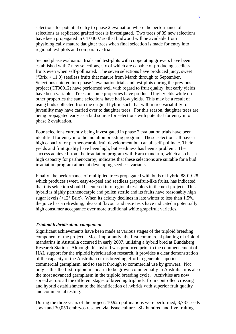selections for potential entry to phase 2 evaluation where the performance of selections as replicated grafted trees is investigated. Two trees of 39 new selections have been propagated in CT04007 so that budwood will be available from physiologically mature daughter trees when final selection is made for entry into regional test-plots and comparative trials.

Second phase evaluation trials and test-plots with cooperating growers have been established with 7 new selections, six of which are capable of producing seedless fruits even when self-pollinated. The seven selections have produced juicy, sweet ( ${}^{\circ}Brix > 11.0$ ) seedless fruits that mature from March through to September. Selections entered into phase 2 evaluation trials and test-plots during the previous project (CT00012) have performed well with regard to fruit quality, but early yields have been variable. Trees on some properties have produced high yields while on other properties the same selections have had low yields. This may be a result of using buds collected from the original hybrid such that within tree variability for juvenility may have carried over to daughter trees. For this reason, daughter trees are being propagated early as a bud source for selections with potential for entry into phase 2 evaluation.

Four selections currently being investigated in phase 2 evaluation trials have been identified for entry into the mutation breeding program. These selections all have a high capacity for parthenocarpic fruit development but can all self-pollinate. Their yields and fruit quality have been high, but seediness has been a problem. The success achieved from the irradiation program with Kara mandarin, which also has a high capacity for parthenocarpy, indicates that these selections are suitable for a bud irradiation program aimed at developing seedless variants.

Finally, the performance of multiplied trees propagated with buds of hybrid 88-09-28, which produces sweet, easy-to-peel and seedless grapefruit-like fruits, has indicated that this selection should be entered into regional test-plots in the next project. This hybrid is highly parthenocarpic and pollen sterile and its fruits have reasonably high sugar levels ( $>12^{\circ}$  Brix). When its acidity declines in late winter to less than 1.5%. the juice has a refreshing, pleasant flavour and taste tests have indicated a potentially high consumer acceptance over more traditional white grapefruit varieties.

#### *Triploid hybridisation component*

Significant achievements have been made at various stages of the triploid breeding component of the project. Most importantly, the first commercial planting of triploid mandarins in Australia occurred in early 2007, utilising a hybrid bred at Bundaberg Research Station. Although this hybrid was produced prior to the commencement of HAL support for the triploid hybridisation research, it provides a clear demonstration of the capacity of the Australian citrus breeding effort to generate superior commercial germplasm, and to see it through to commercial use by growers. Not only is this the first triploid mandarin to be grown commercially in Australia, it is also the most advanced germplasm in the triploid breeding cycle. Activities are now spread across all the different stages of breeding triploids, from controlled crossing and hybrid establishment to the identification of hybrids with superior fruit quality and commercial testing.

During the three years of the project, 10,925 pollinations were performed, 3,787 seeds sown and 30,050 embryos rescued via tissue culture. Six hundred and five fruiting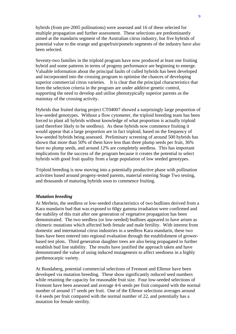hybrids (from pre-2005 pollinations) were assessed and 16 of these selected for multiple propagation and further assessment. These selections are predominantly aimed at the mandarin segment of the Australian citrus industry, but five hybrids of potential value to the orange and grapefruit/pomelo segments of the industry have also been selected.

Seventy-two families in the triploid program have now produced at least one fruiting hybrid and some patterns in terms of progeny performance are beginning to emerge. Valuable information about the principal faults of culled hybrids has been developed and incorporated into the crossing program to optimise the chances of developing superior commercial citrus varieties. It is clear that the principal characteristics that form the selection criteria in the program are under additive genetic control, supporting the need to develop and utilise phenotypically superior parents as the mainstay of the crossing activity.

Hybrids that fruited during project CT04007 showed a surprisingly large proportion of low-seeded genotypes. Without a flow cytometer, the triploid breeding team has been forced to plant all hybrids without knowledge of what proportion is actually triploid (and therefore likely to be seedless). As these hybrids now commence fruiting it would appear that a large proportion are in fact triploid, based on the frequency of low-seeded hybrids being assessed. Preliminary screening of around 500 hybrids has shown that more than 50% of them have less than three plump seeds per fruit, 36% have no plump seeds, and around 12% are completely seedless. This has important implications for the success of the program because it creates the potential to select hybrids with good fruit quality from a large population of low seeded genotypes.

Triploid breeding is now moving into a potentially productive phase with pollination activities based around progeny-tested parents, material entering Stage Two testing, and thousands of maturing hybrids soon to commence fruiting.

#### *Mutation breeding*

At Merbein, the seedless or low-seeded characteristics of two budlines derived from a Kara mandarin bud that was exposed to 60gy gamma irradiation were confirmed and the stability of this trait after one generation of vegetative propagation has been demonstrated. The two seedless (or low-seeded) budlines appeared to have arisen as chimeric mutations which affected both female and male fertility. With interest from domestic and international citrus industries in a seedless Kara mandarin, these two lines have been entered into regional evaluation through the establishment of growerbased test plots. Third generation daughter trees are also being propagated to further establish bud line stability. The results have justified the approach taken and have demonstrated the value of using induced mutagenesis to affect seediness in a highly parthenocarpic variety.

At Bundaberg, potential commercial selections of Fremont and Ellenor have been developed via mutation breeding. These show significantly reduced seed numbers while retaining the capacity for reasonable fruit size. Four low-seeded selections of Fremont have been assessed and average 4-6 seeds per fruit compared with the normal number of around 17 seeds per fruit. One of the Ellenor selections averages around 0.4 seeds per fruit compared with the normal number of 22, and potentially has a mutation for female sterility.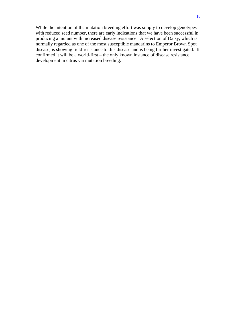While the intention of the mutation breeding effort was simply to develop genotypes with reduced seed number, there are early indications that we have been successful in producing a mutant with increased disease resistance. A selection of Daisy, which is normally regarded as one of the most susceptible mandarins to Emperor Brown Spot disease, is showing field-resistance to this disease and is being further investigated. If confirmed it will be a world-first – the only known instance of disease resistance development in citrus via mutation breeding.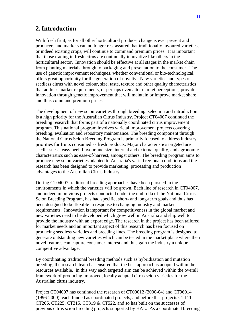## **2.Introduction**

With fresh fruit, as for all other horticultural produce, change is ever present and producers and markets can no longer rest assured that traditionally favoured varieties, or indeed existing crops, will continue to command premium prices. It is important that those trading in fresh citrus are continually innovative like others in the horticultural sector. Innovation should be effective at all stages in the market chain from planting materials through to packaging and presentation to the consumer. The use of genetic improvement techniques, whether conventional or bio-technological, offers great opportunity for the generation of novelty. New varieties and types of seedless citrus with novel colour, size, taste, texture and other quality characteristics that address market requirements, or perhaps even alter market perceptions, provide innovation through genetic improvement that will maintain or improve market share and thus command premium prices.

The development of new scion varieties through breeding, selection and introduction is a high priority for the Australian Citrus Industry. Project CT04007 continued the breeding research that forms part of a nationally coordinated citrus improvement program. This national program involves varietal improvement projects covering breeding, evaluation and repository maintenance. The breeding component through the National Citrus Scion Breeding Program is primarily focused to address industry priorities for fruits consumed as fresh products. Major characteristics targeted are seedlessness, easy peel, flavour and size, internal and external quality, and agronomic characteristics such as ease-of-harvest, amongst others. The breeding program aims to produce new scion varieties adapted to Australia's varied regional conditions and the research has been designed to provide marketing, processing and production advantages to the Australian Citrus Industry.

During CT04007 traditional breeding approaches have been pursued in the environments in which the varieties will be grown. Each line of research in CT04007, and indeed in previous projects conducted under the umbrella of the National Citrus Scion Breeding Program, has had specific, short- and long-term goals and thus has been designed to be flexible in response to changing industry and market requirements. Innovation is important for competitiveness in the global market and new varieties need to be developed which grow well in Australia and ship well to provide the industry with an export edge. The research in the project has been tailored for market needs and an important aspect of this research has been focused on producing seedless varieties and breeding lines. The breeding program is designed to generate outstanding new varieties which can be tested in the market place where their novel features can capture consumer interest and thus gain the industry a unique competitive advantage.

By coordinating traditional breeding methods such as hybridisation and mutation breeding, the research team has ensured that the best approach is adopted within the resources available. In this way each targeted aim can be achieved within the overall framework of producing improved, locally adapted citrus scion varieties for the Australian citrus industry.

Project CT04007 has continued the research of CT00012 (2000-04) and CT96014 (1996-2000), each funded as coordinated projects, and before that projects CT111, CT206, CT225, CT315, CT319 & CT522, and so has built on the successes of previous citrus scion breeding projects supported by HAL. As a coordinated breeding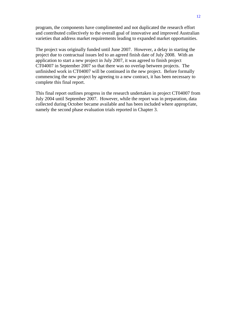program, the components have complimented and not duplicated the research effort and contributed collectively to the overall goal of innovative and improved Australian varieties that address market requirements leading to expanded market opportunities.

The project was originally funded until June 2007. However, a delay in starting the project due to contractual issues led to an agreed finish date of July 2008. With an application to start a new project in July 2007, it was agreed to finish project CT04007 in September 2007 so that there was no overlap between projects. The unfinished work in CT04007 will be continued in the new project. Before formally commencing the new project by agreeing to a new contract, it has been necessary to complete this final report.

This final report outlines progress in the research undertaken in project CT04007 from July 2004 until September 2007. However, while the report was in preparation, data collected during October became available and has been included where appropriate, namely the second phase evaluation trials reported in Chapter 3.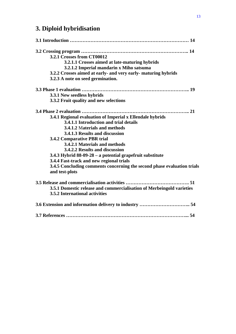## **3. Diploid hybridisation**

| 3.2.1 Crosses from CT00012                                              |
|-------------------------------------------------------------------------|
| 3.2.1.1 Crosses aimed at late-maturing hybrids                          |
| 3.2.1.2 Imperial mandarin x Miho satsuma                                |
| 3.2.2 Crosses aimed at early- and very early- maturing hybrids          |
| 3.2.3 A note on seed germination.                                       |
|                                                                         |
| 3.3.1 New seedless hybrids                                              |
| 3.3.2 Fruit quality and new selections                                  |
|                                                                         |
| 3.4.1 Regional evaluation of Imperial x Ellendale hybrids               |
| 3.4.1.1 Introduction and trial details                                  |
| 3.4.1.2 Materials and methods                                           |
| 3.4.1.3 Results and discussion                                          |
| 3.4.2 Comparative PBR trial                                             |
| 3.4.2.1 Materials and methods                                           |
| 3.4.2.2 Results and discussion                                          |
| 3.4.3 Hybrid 88-09-28 – a potential grapefruit substitute               |
| 3.4.4 Fast-track and new regional trials                                |
| 3.4.5 Concluding comments concerning the second phase evaluation trials |
| and test-plots                                                          |
| 3.5 Release and commercialisation activities<br>. 51                    |
| 3.5.1 Domestic release and commercialisation of Merbeingold varieties   |
| 3.5.2 International activities                                          |
|                                                                         |
|                                                                         |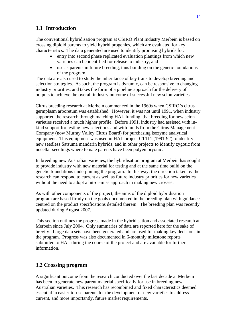### **3.1 Introduction**

The conventional hybridisation program at CSIRO Plant Industry Merbein is based on crossing diploid parents to yield hybrid progenies, which are evaluated for key characteristics. The data generated are used to identify promising hybrids for:

- entry into second phase replicated evaluation plantings from which new varieties can be identified for release to industry, and
- use as parents in future breeding, thus building on the genetic foundations of the program.

The data are also used to study the inheritance of key traits to develop breeding and selection strategies. As such, the program is dynamic, can be responsive to changing industry priorities, and takes the form of a pipeline approach for the delivery of outputs to achieve the overall industry outcome of successful new scion varieties.

Citrus breeding research at Merbein commenced in the 1960s when CSIRO's citrus germplasm arboretum was established. However, it was not until 1991, when industry supported the research through matching HAL funding, that breeding for new scion varieties received a much higher profile. Before 1991, industry had assisted with inkind support for testing new selections and with funds from the Citrus Management Company (now Murray Valley Citrus Board) for purchasing isozyme analytical equipment. This equipment was used in HAL project CT111 (1991-92) to identify new seedless Satsuma mandarin hybrids, and in other projects to identify zygotic from nucellar seedlings where female parents have been polyembryonic.

In breeding new Australian varieties, the hybridisation program at Merbein has sought to provide industry with new material for testing and at the same time build on the genetic foundations underpinning the program. In this way, the direction taken by the research can respond to current as well as future industry priorities for new varieties without the need to adopt a hit-or-miss approach in making new crosses.

As with other components of the project, the aims of the diploid hybridisation program are based firmly on the goals documented in the breeding plan with guidance centred on the product specifications detailed therein. The breeding plan was recently updated during August 2007.

This section outlines the progress made in the hybridisation and associated research at Merbein since July 2004. Only summaries of data are reported here for the sake of brevity. Large data sets have been generated and are used for making key decisions in the program. Progress was also documented in 6-monthly milestone reports submitted to HAL during the course of the project and are available for further information.

### **3.2 Crossing program**

A significant outcome from the research conducted over the last decade at Merbein has been to generate new parent material specifically for use in breeding new Australian varieties. This research has recombined and fixed characteristics deemed essential in easier-to-use parents for the development of new varieties to address current, and more importantly, future market requirements.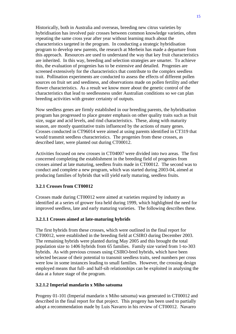Historically, both in Australia and overseas, breeding new citrus varieties by hybridisation has involved pair crosses between common knowledge varieties, often repeating the same cross year after year without learning much about the characteristics targeted in the program. In conducting a strategic hybridisation program to develop new parents, the research at Merbein has made a departure from this approach. Resources are used to understand the way that key fruit characteristics are inherited. In this way, breeding and selection strategies are smarter. To achieve this, the evaluation of progenies has to be extensive and detailed. Progenies are screened extensively for the characteristics that contribute to the complex seedless trait. Pollination experiments are conducted to assess the effects of different pollen sources on fruit set and seediness, and observations made on pollen fertility and other flower characteristics. As a result we know more about the genetic control of the characteristics that lead to seedlessness under Australian conditions so we can plan breeding activities with greater certainty of outputs.

Now seedless genes are firmly established in our breeding parents, the hybridisation program has progressed to place greater emphasis on other quality traits such as fruit size, sugar and acid levels, and rind characteristics. These, along with maturity season, are mostly quantitative traits influenced by the actions of many genes. Crosses conducted in CT96014 were aimed at using parents identified in CT319 that would transmit seedless characteristics. The progenies from these crosses, as described later, were planted out during CT00012.

Activities focused on new crosses in CT04007 were divided into two areas. The first concerned completing the establishment in the breeding field of progenies from crosses aimed at late maturing, seedless fruits made in CT00012. The second was to conduct and complete a new program, which was started during 2003-04, aimed at producing families of hybrids that will yield early maturing, seedless fruits.

#### **3.2.1 Crosses from CT00012**

Crosses made during CT00012 were aimed at varieties required by industry as identified at a series of grower fora held during 1999, which highlighted the need for improved seedless, late and early maturing varieties. The following describes these.

#### **3.2.1.1 Crosses aimed at late-maturing hybrids**

The first hybrids from these crosses, which were outlined in the final report for CT00012, were established in the breeding field at CSIRO during December 2003. The remaining hybrids were planted during May 2005 and this brought the total population size to 1406 hybrids from 65 families. Family size varied from 1-to-303 hybrids. As with previous crosses using CSIRO-bred hybrids, which have been selected because of their potential to transmit seedless traits, seed numbers per cross were low in some instances leading to small families. However, the crossing design employed means that full- and half-sib relationships can be exploited in analysing the data at a future stage of the program.

#### **3.2.1.2 Imperial mandarin x Miho satsuma**

Progeny 01-101 (Imperial mandarin x Miho satsuma) was generated in CT00012 and described in the final report for that project. This progeny has been used to partially adopt a recommendation made by Luis Navarro in his review of CT00012. Navarro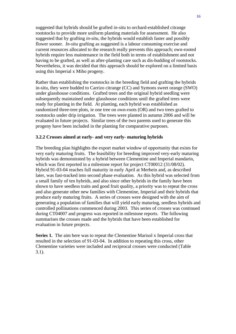suggested that hybrids should be grafted *in-situ* to orchard-established citrange rootstocks to provide more uniform planting materials for assessment. He also suggested that by grafting *in-situ*, the hybrids would establish faster and possibly flower sooner. *In-situ* grafting as suggested is a labour consuming exercise and current resources allocated to the research really prevents this approach; own-rooted hybrids require less maintenance in the field both in terms of establishment and not having to be grafted, as well as after-planting care such as dis-budding of rootstocks. Nevertheless, it was decided that this approach should be explored on a limited basis using this Imperial x Miho progeny.

Rather than establishing the rootstocks in the breeding field and grafting the hybrids in-situ, they were budded to Carrizo citrange (CC) and Symons sweet orange (SWO) under glasshouse conditions. Grafted trees and the original hybrid seedling were subsequently maintained under glasshouse conditions until the grafted trees were ready for planting in the field. At planting, each hybrid was established as randomized three-tree plots, ie one tree on own-roots (OR) and two trees grafted to rootstocks under drip irrigation. The trees were planted in autumn 2006 and will be evaluated in future projects. Similar trees of the two parents used to generate this progeny have been included in the planting for comparative purposes.

#### **3.2.2 Crosses aimed at early- and very early- maturing hybrids**

The breeding plan highlights the export market window of opportunity that exists for very early maturing fruits. The feasibility for breeding improved very-early maturing hybrids was demonstrated by a hybrid between Clementine and Imperial mandarin, which was first reported in a milestone report for project CT00012 (31/08/02). Hybrid 91-03-04 reaches full maturity in early April at Merbein and, as described later, was fast-tracked into second phase evaluation. As this hybrid was selected from a small family of ten hybrids, and also since other hybrids in the family have been shown to have seedless traits and good fruit quality, a priority was to repeat the cross and also generate other new families with Clementine, Imperial and their hybrids that produce early maturing fruits. A series of crosses were designed with the aim of generating a population of families that will yield early maturing, seedless hybrids and controlled pollinations commenced during 2003. This series of crosses was continued during CT04007 and progress was reported in milestone reports. The following summarises the crosses made and the hybrids that have been established for evaluation in future projects.

**Series 1.** The aim here was to repeat the Clementine Marisol x Imperial cross that resulted in the selection of 91-03-04. In addition to repeating this cross, other Clementine varieties were included and reciprocal crosses were conducted (Table 3.1).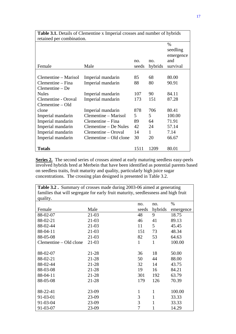| <b>Table 3.1.</b> Details of Clementine x Imperial crosses and number of hybrids |                        |       |         |           |  |  |  |  |
|----------------------------------------------------------------------------------|------------------------|-------|---------|-----------|--|--|--|--|
| retained per combination.                                                        |                        |       |         |           |  |  |  |  |
|                                                                                  |                        |       |         | $\%$      |  |  |  |  |
|                                                                                  |                        |       |         | seedling  |  |  |  |  |
|                                                                                  |                        |       |         | emergence |  |  |  |  |
|                                                                                  |                        | no.   | no.     | and       |  |  |  |  |
| Female                                                                           | Male                   | seeds | hybrids | survival  |  |  |  |  |
|                                                                                  |                        |       |         |           |  |  |  |  |
| Clementine – Marisol                                                             | Imperial mandarin      | 85    | 68      | 80.00     |  |  |  |  |
| Clementine – Fina                                                                | Imperial mandarin      | 88    | 80      | 90.91     |  |  |  |  |
| $C$ lementine – De                                                               |                        |       |         |           |  |  |  |  |
| <b>Nules</b>                                                                     | Imperial mandarin      | 107   | 90      | 84.11     |  |  |  |  |
| Clementine - Oroval<br>Imperial mandarin                                         |                        | 173   | 151     | 87.28     |  |  |  |  |
| $C$ lementine $-$ Old                                                            |                        |       |         |           |  |  |  |  |
| clone                                                                            | Imperial mandarin      | 878   | 706     | 80.41     |  |  |  |  |
| Imperial mandarin                                                                | Clementine – Marisol   | 5     | 5       | 100.00    |  |  |  |  |
| Imperial mandarin                                                                | Clementine – Fina      | 89    | 64      | 71.91     |  |  |  |  |
| Imperial mandarin                                                                | Clementine – De Nules  | 42    | 24      | 57.14     |  |  |  |  |
| Imperial mandarin                                                                | Clementine – Oroval    | 14    | 1       | 7.14      |  |  |  |  |
| Imperial mandarin                                                                | Clementine – Old clone | 30    | 20      | 66.67     |  |  |  |  |
|                                                                                  |                        |       |         |           |  |  |  |  |
| <b>Totals</b>                                                                    |                        | 1511  | 1209    | 80.01     |  |  |  |  |

**Series 2.** The second series of crosses aimed at early maturing seedless easy-peels involved hybrids bred at Merbein that have been identified as potential parents based on seedless traits, fruit maturity and quality, particularly high juice sugar concentrations. The crossing plan designed is presented in Table 3.2.

| Table 3.2. Summary of crosses made during 2003-06 aimed at generating              |           |       |              |           |  |  |
|------------------------------------------------------------------------------------|-----------|-------|--------------|-----------|--|--|
| families that will segregate for early fruit maturity, seedlessness and high fruit |           |       |              |           |  |  |
| quality.                                                                           |           |       |              |           |  |  |
|                                                                                    |           | no.   | no.          | $\%$      |  |  |
| Female                                                                             | Male      | seeds | hybrids      | emergence |  |  |
| 88-02-07                                                                           | $21-03$   | 48    | 9            | 18.75     |  |  |
| 88-02-21                                                                           | $21-03$   | 46    | 41           | 89.13     |  |  |
| 88-02-44                                                                           | $21-03$   | 11    | 5            | 45.45     |  |  |
| 88-04-11                                                                           | $21-03$   | 151   | 73           | 48.34     |  |  |
| 88-05-08                                                                           | $21-03$   | 82    | 53           | 64.63     |  |  |
| Clementine – Old clone                                                             | $21-03$   | 1     | $\mathbf{1}$ | 100.00    |  |  |
|                                                                                    |           |       |              |           |  |  |
| 88-02-07                                                                           | 21-28     | 36    | 18           | 50.00     |  |  |
| 88-02-21                                                                           | $21 - 28$ | 50    | 44           | 88.00     |  |  |
| 88-02-44                                                                           | $21 - 28$ | 32    | 14           | 43.75     |  |  |
| 88-03-08                                                                           | $21 - 28$ | 19    | 16           | 84.21     |  |  |
| 88-04-11                                                                           | 21-28     | 301   | 192          | 63.79     |  |  |
| 88-05-08                                                                           | 21-28     | 179   | 126          | 70.39     |  |  |
|                                                                                    |           |       |              |           |  |  |
| 88-22-41                                                                           | 23-09     | 1     | $\mathbf{1}$ | 100.00    |  |  |
| 91-03-01                                                                           | 23-09     | 3     | 1            | 33.33     |  |  |
| 91-03-04                                                                           | 23-09     | 3     | 1            | 33.33     |  |  |
| 91-03-07                                                                           | 23-09     | 7     | 1            | 14.29     |  |  |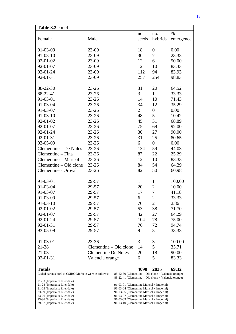| Table 3.2 contd.                                             |                                                                                      |                                          |                |                  |           |
|--------------------------------------------------------------|--------------------------------------------------------------------------------------|------------------------------------------|----------------|------------------|-----------|
|                                                              |                                                                                      |                                          | no.            | no.              | $\%$      |
| Female                                                       | Male                                                                                 |                                          | seeds          | hybrids          | emergence |
|                                                              |                                                                                      |                                          |                |                  |           |
| 91-03-09                                                     | 23-09                                                                                |                                          | 18             | $\boldsymbol{0}$ | 0.00      |
| $91 - 03 - 10$                                               | 23-09                                                                                |                                          | 30             | $\tau$           | 23.33     |
| 92-01-02                                                     | 23-09                                                                                |                                          | 12             | 6                | 50.00     |
| 92-01-07                                                     | 23-09                                                                                |                                          | 12             | 10               | 83.33     |
| 92-01-24                                                     | 23-09                                                                                |                                          | 112            | 94               | 83.93     |
| 92-01-31                                                     | 23-09                                                                                |                                          | 257            | 254              | 98.83     |
|                                                              |                                                                                      |                                          |                |                  |           |
| 88-22-30                                                     | $23 - 26$                                                                            |                                          | 31             | 20               | 64.52     |
| 88-22-41                                                     | $23 - 26$                                                                            |                                          | $\overline{3}$ | $\mathbf{1}$     | 33.33     |
| 91-03-01                                                     | $23 - 26$                                                                            |                                          | 14             | 10               | 71.43     |
| 91-03-04                                                     | $23 - 26$                                                                            |                                          | 34             | 12               | 35.29     |
| 91-03-07                                                     | $23 - 26$                                                                            |                                          | $\overline{2}$ | $\boldsymbol{0}$ | 0.00      |
| 91-03-10                                                     | $23 - 26$                                                                            |                                          | 48             | 5                | 10.42     |
| 92-01-02                                                     | $23 - 26$                                                                            |                                          | 45             | 31               | 68.89     |
| 92-01-07                                                     | $23 - 26$                                                                            |                                          | 75             | 69               | 92.00     |
| 92-01-24                                                     | $23 - 26$                                                                            |                                          | 30             | 27               | 90.00     |
| 92-01-31                                                     | $23 - 26$                                                                            |                                          | 31             | 25               | 80.65     |
| 93-05-09                                                     | $23 - 26$                                                                            |                                          | 6              | $\overline{0}$   | 0.00      |
| Clementine – De Nules                                        | $23 - 26$                                                                            |                                          | 134            | 59               | 44.03     |
| Clementine – Fina                                            | $23 - 26$                                                                            |                                          | 87             | 22               | 25.29     |
| Clementine – Marisol                                         | $23 - 26$                                                                            |                                          | 12             | 10               | 83.33     |
| Clementine - Old clone                                       | $23 - 26$                                                                            |                                          | 84             | 54               | 64.29     |
| Clementine - Oroval                                          | $23 - 26$                                                                            |                                          | 82             | 50               | 60.98     |
|                                                              |                                                                                      |                                          |                |                  |           |
| 91-03-01                                                     | 29-57                                                                                |                                          | $\mathbf{1}$   | $\mathbf{1}$     | 100.00    |
| 91-03-04                                                     | 29-57                                                                                |                                          | 20             | $\overline{2}$   | 10.00     |
| 91-03-07                                                     | 29-57                                                                                |                                          | 17             | $\overline{7}$   | 41.18     |
| 91-03-09                                                     | 29-57                                                                                |                                          | 6              | $\overline{2}$   | 33.33     |
| 91-03-10                                                     | 29-57                                                                                |                                          | $70\,$         | $\overline{c}$   | 2.86      |
| 92-01-02                                                     | 29-57                                                                                |                                          | 53             | 38               | 71.70     |
| 92-01-07                                                     | 29-57                                                                                |                                          | 42             | 27               | 64.29     |
| 92-01-24                                                     | 29-57                                                                                |                                          | 104            | 78               | 75.00     |
| 92-01-31                                                     | 29-57                                                                                |                                          | 76             | 72               | 94.74     |
| 93-05-09                                                     | 29-57                                                                                |                                          | 9              | 3                | 33.33     |
|                                                              |                                                                                      |                                          |                |                  |           |
| 91-03-01                                                     | $23 - 36$                                                                            |                                          | 3              | 3                | 100.00    |
| 21-28                                                        | Clementine – Old clone                                                               |                                          | 14             | 5                | 35.71     |
| $21-03$                                                      | <b>Clementine De Nules</b>                                                           |                                          | 20             | 18               | 90.00     |
| 92-01-31                                                     | Valencia orange                                                                      |                                          | 6              | 5                | 83.33     |
|                                                              |                                                                                      |                                          |                |                  |           |
| <b>Totals</b>                                                |                                                                                      |                                          | 4090           | 2835             | 69.32     |
| Coded parents bred at CSIRO Merbein were as follows:         | 88-22-30 (Clementine - Old clone x Valencia orange)                                  |                                          |                |                  |           |
| 21-03 (Imperial x Ellendale)                                 | 88-22-41 (Clementine – Old clone x Valencia orange)                                  |                                          |                |                  |           |
| 21-28 (Imperial x Ellendale)                                 | 91-03-01 (Clementine Marisol x Imperial)                                             |                                          |                |                  |           |
| 21-03 (Imperial x Ellendale)<br>23-09 (Imperial x Ellendale) | 91-03-04 (Clementine Marisol x Imperial)                                             |                                          |                |                  |           |
| 23-26 (Imperial x Ellendale)                                 | 91-03-05 (Clementine Marisol x Imperial)<br>91-03-07 (Clementine Marisol x Imperial) |                                          |                |                  |           |
| 23-36 (Imperial x Ellendale)                                 |                                                                                      | 91-03-09 (Clementine Marisol x Imperial) |                |                  |           |
| 29-57 (Imperial x Ellendale)                                 | 91-03-10 (Clementine Marisol x Imperial)                                             |                                          |                |                  |           |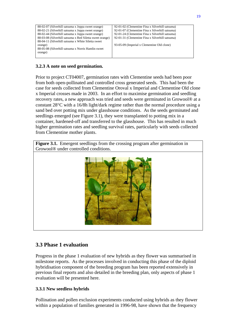| 88-02-07 (Silverhill satsuma x Joppa sweet orange)       | 92-01-02 (Clementine Fina x Silverhill satsuma) |
|----------------------------------------------------------|-------------------------------------------------|
| 88-02-21 (Silverhill satsuma x Joppa sweet orange)       | 92-01-07 (Clementine Fina x Silverhill satsuma) |
| 88-02-44 (Silverhill satsuma x Joppa sweet orange)       | 92-01-24 (Clementine Fina x Silverhill satsuma) |
| 88-03-08 (Silverhill satsuma x Red Siletta sweet orange) | 92-01-31 (Clementine Fina x Silverhill satsuma) |
| 88-04-11 (Silverhill satsuma x White Siletta sweet)      |                                                 |
| orange)                                                  | 93-05-09 (Imperial x Clementine Old clone)      |
| 88-05-08 (Silverhill satsuma x Norris Hamlin sweet)      |                                                 |
| orange)                                                  |                                                 |
|                                                          |                                                 |
|                                                          |                                                 |

#### **3.2.3 A note on seed germination.**

Prior to project CT04007, germination rates with Clementine seeds had been poor from both open-pollinated and controlled cross generated seeds. This had been the case for seeds collected from Clementine Oroval x Imperial and Clementine Old clone x Imperial crosses made in 2003. In an effort to maximise germination and seedling recovery rates, a new approach was tried and seeds were germinated in Growool® at a constant 28°C with a 16/8h light/dark regime rather than the normal procedure using a sand bed over potting mix under glasshouse conditions. As the seeds germinated and seedlings emerged (see Figure 3.1), they were transplanted to potting mix in a container, hardened-off and transferred to the glasshouse. This has resulted in much higher germination rates and seedling survival rates, particularly with seeds collected from Clementine mother plants.

**Figure 3.1.** Emergent seedlings from the crossing program after germination in Growool® under controlled conditions.



### **3.3 Phase 1 evaluation**

Progress in the phase 1 evaluation of new hybrids as they flower was summarised in milestone reports. As the processes involved in conducting this phase of the diploid hybridisation component of the breeding program has been reported extensively in previous final reports and also detailed in the breeding plan, only aspects of phase 1 evaluation will be presented here.

#### **3.3.1 New seedless hybrids**

Pollination and pollen exclusion experiments conducted using hybrids as they flower within a population of families generated in 1996-98, have shown that the frequency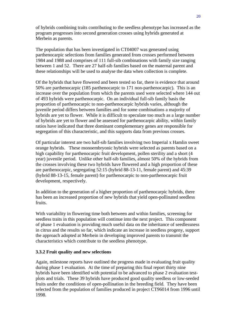of hybrids combining traits contributing to the seedless phenotype has increased as the program progresses into second generation crosses using hybrids generated at Merbein as parents.

The population that has been investigated in CT04007 was generated using parthenocarpic selections from families generated from crosses performed between 1984 and 1988 and comprises of 111 full-sib combinations with family size ranging between 1 and 52. There are 27 half-sib families based on the maternal parent and these relationships will be used to analyse the data when collection is complete.

Of the hybrids that have flowered and been tested so far, there is evidence that around 50% are parthenocarpic (185 parthenocarpic to 171 non-parthenocarpic). This is an increase over the population from which the parents used were selected where 144 out of 493 hybrids were parthenocarpic. On an individual full-sib family basis the proportion of parthenocarpic to non-parthenocarpic hybrids varies, although the juvenile period differs between families and for some combinations a majority of hybrids are yet to flower. While it is difficult to speculate too much as a large number of hybrids are yet to flower and be assessed for parthenocarpic ability, within family ratios have indicated that three dominant complementary genes are responsible for segregation of this characteristic, and this supports data from previous crosses.

Of particular interest are two half-sib families involving two Imperial x Hamlin sweet orange hybrids. These monoembryonic hybrids were selected as parents based on a high capability for parthenocarpic fruit development, pollen sterility and a short (4 year) juvenile period. Unlike other half-sib families, almost 50% of the hybrids from the crosses involving these two hybrids have flowered and a high proportion of these are parthenocarpic, segregating 52:15 (hybrid 88-13-11, female parent) and 45:39 (hybrid 88-13-15, female parent) for parthenocarpic to non-parthenocarpic fruit development, respectively.

In addition to the generation of a higher proportion of parthenocarpic hybrids, there has been an increased proportion of new hybrids that yield open-pollinated seedless fruits.

With variability in flowering time both between and within families, screening for seedless traits in this population will continue into the next project. This component of phase 1 evaluation is providing much useful data on the inheritance of seedlessness in citrus and the results so far, which indicate an increase in seedless progeny, support the approach adopted at Merbein in developing improved parents to transmit the characteristics which contribute to the seedless phenotype.

#### **3.3.2 Fruit quality and new selections**

Again, milestone reports have outlined the progress made in evaluating fruit quality during phase 1 evaluation. At the time of preparing this final report thirty nine hybrids have been identified with potential to be advanced to phase 2 evaluation testplots and trials. These 39 hybrids have produced good quality seedless or low-seeded fruits under the conditions of open-pollination in the breeding field. They have been selected from the population of families produced in project CT96014 from 1996 until 1998.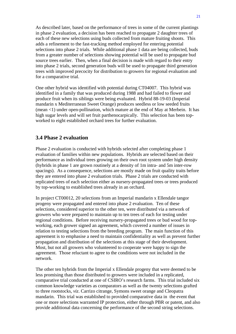As described later, based on the performance of trees in some of the current plantings in phase 2 evaluation, a decision has been reached to propagate 2 daughter trees of each of these new selections using buds collected from mature fruiting shoots. This adds a refinement to the fast-tracking method employed for entering potential selections into phase 2 trials. While additional phase 1 data are being collected, buds from a greater number of selections showing potential will be used to propagate bud source trees earlier. Then, when a final decision is made with regard to their entry into phase 2 trials, second generation buds will be used to propagate third generation trees with improved precocity for distribution to growers for regional evaluation and for a comparative trial.

One other hybrid was identified with potential during CT04007. This hybrid was identified in a family that was produced during 1988 and had failed to flower and produce fruit when its siblings were being evaluated. Hybrid 88-19-03 (Imperial mandarin x Mediterranean Sweet Orange) produces seedless or low seeded fruits (mean <1) under open-pollination, which mature at the end of May at Merbein. It has high sugar levels and will set fruit parthenocarpically. This selection has been topworked to eight established orchard trees for further evaluation.

#### **3.4 Phase 2 evaluation**

Phase 2 evaluation is conducted with hybrids selected after completing phase 1 evaluation of families within new populations. Hybrids are selected based on their performance as individual trees growing on their own root system under high density (hybrids in phase 1 are grown routinely at a density of 1m intra- and 5m inter-row spacings). As a consequence, selections are mostly made on fruit quality traits before they are entered into phase 2 evaluation trials. Phase 2 trials are conducted with replicated trees of each selection either as nursery-propagated trees or trees produced by top-working to established trees already in an orchard.

In project CT00012, 20 selections from an Imperial mandarin x Ellendale tangor progeny were propagated and entered into phase 2 evaluation. Ten of these selections, considered superior to the other ten, were distributed via a network of growers who were prepared to maintain up to ten trees of each for testing under regional conditions. Before receiving nursery-propagated trees or bud wood for topworking, each grower signed an agreement, which covered a number of issues in relation to testing selections from the breeding program. The main function of this agreement is to emphasise a need to maintain confidentiality as well as prevent further propagation and distribution of the selections at this stage of their development. Most, but not all growers who volunteered to cooperate were happy to sign the agreement. Those reluctant to agree to the conditions were not included in the network.

The other ten hybrids from the Imperial x Ellendale progeny that were deemed to be less promising than those distributed to growers were included in a replicated, comparative trial conducted at one of CSIRO's research farms. This trial included six common knowledge varieties as comparators as well as the twenty selections grafted to three rootstocks, *viz*. Carrizo citrange, Symons sweet orange and Cleopatra mandarin. This trial was established to provided comparative data in the event that one or more selections warranted IP protection, either through PBR or patent, and also provide additional data concerning the performance of the second string selections.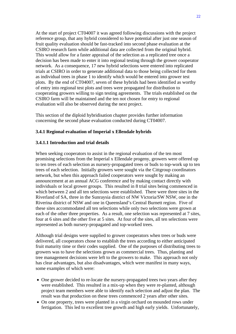At the start of project CT04007 it was agreed following discussions with the project reference group, that any hybrid considered to have potential after just one season of fruit quality evaluation should be fast-tracked into second phase evaluation at the CSIRO research farm while additional data are collected from the original hybrid. This would allow for a faster appraisal of the selection as a replicated tree once a decision has been made to enter it into regional testing through the grower cooperator network. As a consequence, 17 new hybrid selections were entered into replicated trials at CSIRO in order to generate additional data to those being collected for them as individual trees in phase 1 to identify which would be entered into grower test plots. By the end of CT04007, seven of these hybrids had been identified as worthy of entry into regional test plots and trees were propagated for distribution to cooperating growers willing to sign testing agreements. The trials established on the CSIRO farm will be maintained and the ten not chosen for entry to regional evaluation will also be observed during the next project.

This section of the diploid hybridisation chapter provides further information concerning the second phase evaluation conducted during CT04007.

#### **3.4.1 Regional evaluation of Imperial x Ellendale hybrids**

#### **3.4.1.1 Introduction and trial details**

When seeking cooperators to assist in the regional evaluation of the ten most promising selections from the Imperial x Ellendale progeny, growers were offered up to ten trees of each selection as nursery-propagated trees or buds to top-work up to ten trees of each selection. Initially growers were sought via the Cittgroup coordinators network, but when this approach failed cooperators were sought by making an announcement at an annual ACG conference and by making contact directly with individuals or local grower groups. This resulted in 8 trial sites being commenced in which between 2 and all ten selections were established. There were three sites in the Riverland of SA, three in the Sunraysia district of NW Victoria/SW NSW, one in the Riverina district of NSW and one in Queensland's Central Burnett region. Five of these sites accommodated all ten selections while only two selections were grown at each of the other three properties. As a result, one selection was represented at 7 sites, four at 6 sites and the other five at 5 sites. At four of the sites, all ten selections were represented as both nursery-propagated and top-worked trees.

Although trial designs were supplied to grower cooperators when trees or buds were delivered, all cooperators chose to establish the trees according to either anticipated fruit maturity time or their codes supplied. One of the purposes of distributing trees to growers was to have the selections grown as commercial trees. Thus, planting and tree management decisions were left to the growers to make. This approach not only has clear advantages, but also disadvantages, which were manifest in many ways, some examples of which were:

- One grower decided to re-locate the nursery-propagated trees two years after they were established. This resulted in a mix-up when they were re-planted, although project team members were able to identify each selection and adjust the plan. The result was that production on these trees commenced 2 years after other sites.
- On one property, trees were planted in a virgin orchard on mounded rows under fertigation. This led to excellent tree growth and high early yields. Unfortunately,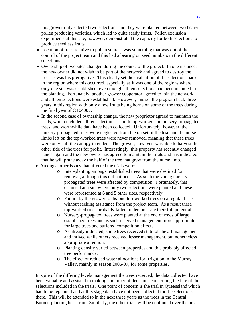this grower only selected two selections and they were planted between two heavy pollen producing varieties, which led to quite seedy fruits. Pollen exclusion experiments at this site, however, demonstrated the capacity for both selections to produce seedless fruits.

- Location of trees relative to pollen sources was something that was out of the control of the project team and this had a bearing on seed numbers in the different selections.
- Ownership of two sites changed during the course of the project. In one instance, the new owner did not wish to be part of the network and agreed to destroy the trees as was his prerogative. This clearly set the evaluation of the selections back in the region where this occurred, especially as it was one of the regions where only one site was established, even though all ten selections had been included in the planting. Fortunately, another grower cooperator agreed to join the network and all ten selections were established. However, this set the program back three years in this region with only a few fruits being borne on some of the trees during the final year of CT04007.
- In the second case of ownership change, the new proprietor agreed to maintain the trials, which included all ten selections as both top-worked and nursery-propagated trees, and worthwhile data have been collected. Unfortunately, however, the nursery-propagated trees were neglected from the outset of the trial and the nurse limbs left on the top-worked trees were never removed, meaning that these trees were only half the canopy intended. The grower, however, was able to harvest the other side of the trees for profit. Interestingly, this property has recently changed hands again and the new owner has agreed to maintain the trials and has indicated that he will prune away the half of the tree that grew from the nurse limb.
- Amongst other issues that affected the trials were:
	- o Inter-planting amongst established trees that were destined for removal, although this did not occur. As such the young nurserypropagated trees were affected by competition. Fortunately, this occurred at a site where only two selections were planted and these were represented at 6 and 5 other sites, respectively.
	- o Failure by the grower to dis-bud top-worked trees on a regular basis without seeking assistance from the project team. As a result these top-worked trees probably failed to demonstrate their full potential.
	- o Nursery-propagated trees were planted at the end of rows of large established trees and as such received management more appropriate for large trees and suffered competition effects.
	- o As already indicated, some trees received state-of-the art management and thrived while others received lesser management, but nonetheless appropriate attention.
	- o Planting density varied between properties and this probably affected tree performance.
	- o The effect of reduced water allocations for irrigation in the Murray Valley, mainly in season 2006-07, for some properties.

In spite of the differing levels management the trees received, the data collected have been valuable and assisted in making a number of decisions concerning the fate of the selections included in the trials. One point of concern is the trial in Queensland which had to be replanted and at this stage data have not been collected for the selections there. This will be attended to in the next three years as the trees in the Central Burnett planting bear fruit. Similarly, the other trials will be continued over the next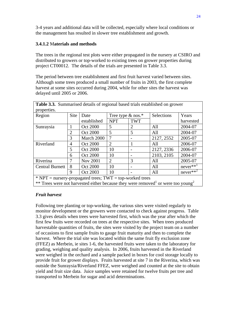3-4 years and additional data will be collected, especially where local conditions or the management has resulted in slower tree establishment and growth.

#### **3.4.1.2** M**aterials and methods**

The trees in the regional test plots were either propagated in the nursery at CSIRO and distributed to growers or top-worked to existing trees on grower properties during project CT00012. The details of the trials are presented in Table 3.3.

The period between tree establishment and first fruit harvest varied between sites. Although some trees produced a small number of fruits in 2003, the first complete harvest at some sites occurred during 2004, while for other sites the harvest was delayed until 2005 or 2006.

| <b>Table 3.3.</b> Summarised details of regional based trials established on grower<br>properties. |                |                 |                      |                |            |             |  |
|----------------------------------------------------------------------------------------------------|----------------|-----------------|----------------------|----------------|------------|-------------|--|
| Region                                                                                             | <b>Site</b>    | Date            | Tree type $\&$ nos.* |                | Selections | Years       |  |
|                                                                                                    |                | established     | <b>NPT</b>           | <b>TWT</b>     |            | harvested   |  |
| Sunraysia                                                                                          |                | <b>Oct 2000</b> | 5                    | $\overline{2}$ | All        | 2004-07     |  |
|                                                                                                    | $\overline{2}$ | <b>Oct 2000</b> | 5                    | 5              | All        | 2004-07     |  |
|                                                                                                    | 3              | March 2000      | 7                    |                | 2127, 2552 | 2005-07     |  |
| Riverland                                                                                          | 4              | <b>Oct 2000</b> | $\overline{2}$       | 1              | All        | 2006-07     |  |
|                                                                                                    | 5              | <b>Oct 2000</b> | 10                   |                | 2127, 2336 | 2006-07     |  |
|                                                                                                    | 6              | Oct 2000        | 10                   |                | 2103, 2105 | 2004-07     |  |
| Riverina                                                                                           | 7              | <b>Nov 2001</b> | $\overline{2}$       | 3              | All        | 2005-07     |  |
| <b>Central Burnett</b>                                                                             | 8              | <b>Oct 2000</b> | 10                   |                | All        | $never**^1$ |  |
|                                                                                                    | 9              | Oct 2003        | 10                   |                | All        | $never**^2$ |  |
| $*$ NPT = nursery-propagated trees; TWT = top-worked trees                                         |                |                 |                      |                |            |             |  |
| ** Trees were not harvested either because they were removed or were too young <sup>2</sup>        |                |                 |                      |                |            |             |  |

#### *Fruit harvest*

Following tree planting or top-working, the various sites were visited regularly to monitor development or the growers were contacted to check against progress. Table 3.3 gives details when trees were harvested first, which was the year after which the first few fruits were recorded on trees at the respective sites. When trees produced harvestable quantities of fruits, the sites were visited by the project team on a number of occasions to first sample fruits to gauge fruit maturity and then to complete the harvest. Where the trial site was located within the same fruit fly exclusion zone (FFEZ) as Merbein, ie sites 1-6, the harvested fruits were taken to the laboratory for grading, weighing and quality analysis. In 2006, fruits harvested in the Riverland were weighed in the orchard and a sample packed in boxes for cool storage locally to provide fruit for grower displays. Fruits harvested at site 7 in the Riverina, which was outside the Sunraysia/Riverland FFEZ, were weighed and counted at the site to obtain yield and fruit size data. Juice samples were retained for twelve fruits per tree and transported to Merbein for sugar and acid determinations.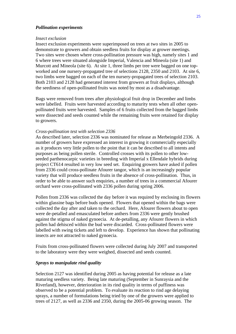#### *Pollination experiments*

#### *Insect exclusion*

Insect exclusion experiments were superimposed on trees at two sites in 2005 to demonstrate to growers and obtain seedless fruits for display at grower meetings. Two sites were chosen where cross-pollination pressure was high, namely sites 1 and 6 where trees were situated alongside Imperial, Valencia and Mineola (site 1) and Murcott and Mineola (site 6). At site 1, three limbs per tree were bagged on one topworked and one nursery-propagated tree of selections 2128, 2350 and 2103. At site 6, two limbs were bagged on each of the ten nursery-propagated trees of selection 2103. Both 2103 and 2128 had generated interest from growers at fruit displays, although the seediness of open-pollinated fruits was noted by most as a disadvantage.

Bags were removed from trees after physiological fruit drop in December and limbs were labelled. Fruits were harvested according to maturity tests when all other openpollinated fruits were harvested. Samples of 6 fruits collected from the bagged limbs were dissected and seeds counted while the remaining fruits were retained for display to growers.

#### *Cross-pollination test with selection 2336*

As described later, selection 2336 was nominated for release as Merbeingold 2336. A number of growers have expressed an interest in growing it commercially especially as it produces very little pollen to the point that it can be described to all intents and purposes as being pollen sterile. Controlled crosses with its pollen to other lowseeded parthenocarpic varieties in breeding with Imperial x Ellendale hybrids during project CT614 resulted in very low seed set. Enquiring growers have asked if pollen from 2336 could cross-pollinate Afourer tangor, which is an increasingly popular variety that will produce seedless fruits in the absence of cross-pollination. Thus, in order to be able to answer such enquiries, a number of trees in a commercial Afourer orchard were cross-pollinated with 2336 pollen during spring 2006.

Pollen from 2336 was collected the day before it was required by enclosing its flowers within glassine bags before buds opened. Flowers that opened within the bags were collected the day after and taken to the orchard. Here, Afourer flowers about to open were de-petalled and emasculated before anthers from 2336 were gently brushed against the stigma of naked gynoecia. At de-petalling, any Afourer flowers in which pollen had dehisced within the bud were discarded. Cross-pollinated flowers were labelled with swing tickets and left to develop. Experience has shown that pollinating insects are not attracted to naked gynoecia.

Fruits from cross-pollinated flowers were collected during July 2007 and transported to the laboratory were they were weighed, dissected and seeds counted.

#### *Sprays to manipulate rind quality*

Selection 2127 was identified during 2005 as having potential for release as a late maturing seedless variety. Being late maturing (September in Sunraysia and the Riverland), however, deterioration in its rind quality in terms of puffiness was observed to be a potential problem. To evaluate its reaction to rind age delaying sprays, a number of formulations being tried by one of the growers were applied to trees of 2127, as well as 2336 and 2350, during the 2005-06 growing season. The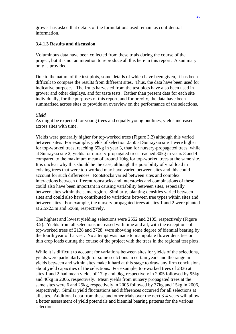grower has asked that details of the formulations used remain as confidential information.

#### **3.4.1.3 Results and discussion**

Voluminous data have been collected from these trials during the course of the project, but it is not an intention to reproduce all this here in this report. A summary only is provided.

Due to the nature of the test plots, some details of which have been given, it has been difficult to compare the results from different sites. Thus, the data have been used for indicative purposes. The fruits harvested from the test plots have also been used in grower and other displays, and for taste tests. Rather than present data for each site individually, for the purposes of this report, and for brevity, the data have been summarised across sites to provide an overview on the performance of the selections.

#### *Yield*

As might be expected for young trees and equally young budlines, yields increased across sites with time.

Yields were generally higher for top-worked trees (Figure 3.2) although this varied between sites. For example, yields of selection 2350 at Sunraysia site 1 were higher for top-worked trees, reaching 65kg in year 3, than for nursery-propagated trees, while at Sunraysia site 2, yields for nursery-propagated trees reached 30kg in years 3 and 4 compared to the maximum mean of around 10kg for top-worked trees at the same site. It is unclear why this should be the case, although the possibility of viral load in existing trees that were top-worked may have varied between sites and this could account for such differences. Rootstocks varied between sites and complex interactions between different rootstocks and interstocks and combinations of these could also have been important in causing variability between sites, especially between sites within the same region. Similarly, planting densities varied between sites and could also have contributed to variations between tree types within sites and between sites. For example, the nursery propagated trees at sites 1 and 2 were planted at 2.5x2.5m and 5x6m, respectively.

The highest and lowest yielding selections were 2552 and 2105, respectively (Figure 3.2). Yields from all selections increased with time and all, with the exceptions of top-worked trees of 2128 and 2728, were showing some degree of biennial bearing by the fourth year of harvest. No attempt was made to manipulate flower densities or thin crop loads during the course of the project with the trees in the regional test plots.

While it is difficult to account for variations between sites for yields of the selections, yields were particularly high for some seelctions in certain years and the range in yields between and within sites make it hard at this stage to draw any firm conclusions about yield capacities of the selections. For example, top-worked trees of 2336 at sites 1 and 2 had mean yields of 17kg and 9kg, respectively in 2005 followed by 95kg and 46kg in 2006, respectively. Mean yields from nursery propagated trees at the same sites were 6 and 25kg, respectively in 2005 followed by 37kg and 15kg in 2006, respectively. Similar yield fluctuations and differences occurred for all selections at all sites. Additional data from these and other trials over the next 3-4 years will allow a better assessment of yield potentials and biennial bearing patterns for the various selections.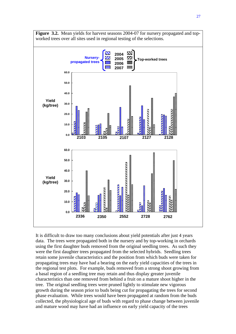

It is difficult to draw too many conclusions about yield potentials after just 4 years data. The trees were propagated both in the nursery and by top-working in orchards using the first daughter buds removed from the original seedling trees. As such they were the first daughter trees propagated from the selected hybrids. Seedling trees retain some juvenile characteristics and the position from which buds were taken for propagating trees may have had a bearing on the early yield capacities of the trees in the regional test plots. For example, buds removed from a strong shoot growing from a basal region of a seedling tree may retain and thus display greater juvenile characteristics than one removed from behind a fruit on a mature shoot higher in the tree. The original seedling trees were pruned lightly to stimulate new vigorous growth during the season prior to buds being cut for propagating the trees for second phase evaluation. While trees would have been propagated at random from the buds collected, the physiological age of buds with regard to phase change between juvenile and mature wood may have had an influence on early yield capacity of the trees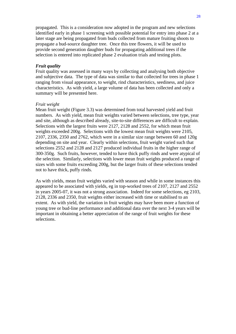propagated. This is a consideration now adopted in the program and new selections identified early in phase 1 screening with possible potential for entry into phase 2 at a later stage are being propagated from buds collected from mature fruiting shoots to propagate a bud-source daughter tree. Once this tree flowers, it will be used to provide second generation daughter buds for propagating additional trees if the selection is entered into replicated phase 2 evaluation trials and testing plots.

#### *Fruit quality*

Fruit quality was assessed in many ways by collecting and analysing both objective and subjective data. The type of data was similar to that collected for trees in phase 1 ranging from visual appearance, to weight, rind characteristics, seediness, and juice characteristics. As with yield, a large volume of data has been collected and only a summary will be presented here.

#### *Fruit weight*

Mean fruit weight (Figure 3.3) was determined from total harvested yield and fruit numbers. As with yield, mean fruit weights varied between selections, tree type, year and site, although as described already, site-to-site differences are difficult to explain. Selections with the largest fruits were 2127, 2128 and 2552, for which mean fruit weights exceeded 200g. Selections with the lowest mean fruit weights were 2105, 2107, 2336, 2350 and 2762, which were in a similar size range between 60 and 120g depending on site and year. Clearly within selections, fruit weight varied such that selections 2552 and 2128 and 2127 produced individual fruits in the higher range of 300-350g. Such fruits, however, tended to have thick puffy rinds and were atypical of the selection. Similarly, selections with lower mean fruit weights produced a range of sizes with some fruits exceeding 200g, but the larger fruits of these selections tended not to have thick, puffy rinds.

As with yields, mean fruit weights varied with season and while in some instances this appeared to be associated with yields, eg in top-worked trees of 2107, 2127 and 2552 in years 2005-07, it was not a strong association. Indeed for some selections, eg 2103, 2128, 2336 and 2350, fruit weights either increased with time or stabilised to an extent. As with yield, the variation in fruit weights may have been more a function of young tree or bud-line performance and additional data over the next 3-4 years will be important in obtaining a better appreciation of the range of fruit weights for these selections.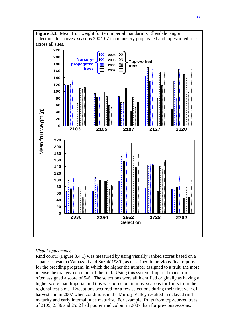

#### *Visual appearance*

Rind colour (Figure 3.4.1) was measured by using visually ranked scores based on a Japanese system (Yamazaki and Suzuki1980), as described in previous final reports for the breeding program, in which the higher the number assigned to a fruit, the more intense the orange/red colour of the rind. Using this system, Imperial mandarin is often assigned a score of 5-6. The selections were all identified originally as having a higher score than Imperial and this was borne out in most seasons for fruits from the regional test plots. Exceptions occurred for a few selections during their first year of harvest and in 2007 when conditions in the Murray Valley resulted in delayed rind maturity and early internal juice maturity. For example, fruits from top-worked trees of 2105, 2336 and 2552 had poorer rind colour in 2007 than for previous seasons.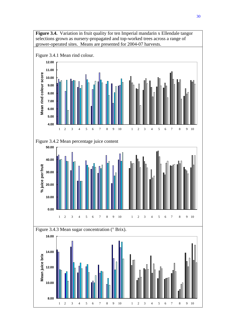

30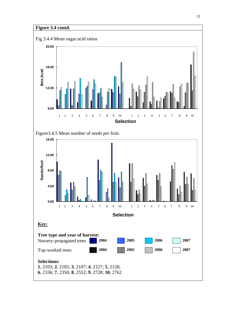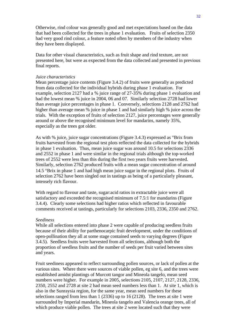Otherwise, rind colour was generally good and met expectations based on the data that had been collected for the trees in phase 1 evaluation. Fruits of selection 2350 had very good rind colour, a feature noted often by members of the industry when they have been displayed.

Data for other visual characteristics, such as fruit shape and rind texture, are not presented here, but were as expected from the data collected and presented in previous final reports.

#### *Juice characteristics*

Mean percentage juice contents (Figure 3.4.2) of fruits were generally as predicted from data collected for the individual hybrids during phase 1 evaluation. For example, selection 2127 had a % juice range of 27-35% during phase 1 evaluation and had the lowest mean % juice in 2004, 06 and 07. Similarly selection 2728 had lower than average juice percentages in phase 1. Conversely, selections 2128 and 2762 had higher than average mean % juice in phase 1 and had similarly high % juice across the trials. With the exception of fruits of selection 2127, juice percentages were generally around or above the recognised minimum level for mandarins, namely 35%, especially as the trees got older.

As with % juice, juice sugar concentrations (Figure 3.4.3) expressed as °Brix from fruits harvested from the regional test plots reflected the data collected for the hybrids in phase 1 evaluation. Thus, mean juice sugar was around 10.5 for selections 2336 and 2552 in phase 1 and were similar in the regional trials although the top-worked trees of 2552 were less than this during the first two years fruits were harvested. Similarly, selection 2762 produced fruits with a mean sugar concentration of around 14.5 °Brix in phase 1 and had high mean juice sugar in the regional plots. Fruits of selection 2762 have been singled out in tastings as being of a particularly pleasant, intensely rich flavour.

With regard to flavour and taste, sugar:acid ratios in extractable juice were all satisfactory and exceeded the recognised minimum of 7.5:1 for mandarins (Figure 3.4.4). Clearly some selections had higher ratios which reflected in favourable comments received at tastings, particularly for selections 2103, 2336, 2350 and 2762.

#### *Seediness*

While all selections entered into phase 2 were capable of producing seedless fruits because of their ability for parthenocarpic fruit development, under the conditions of open-pollination they all at some stage contained seeds to varying degrees (Figure 3.4.5). Seedless fruits were harvested from all selections, although both the proportion of seedless fruits and the number of seeds per fruit varied between sites and years.

Fruit seediness appeared to reflect surrounding pollen sources, or lack of pollen at the various sites. Where there were sources of viable pollen, eg site 6, and the trees were established amidst plantings of Murcott tangor and Mineola tangelo, mean seed numbers were higher. For example in 2005, selections 2105, 2107, 2127, 2128, 2336, 2350, 2552 and 2728 at site 2 had mean seed numbers less than 1. At site 1, which is also in the Sunraysia region, for the same year, mean seed numbers for these selections ranged from less than 1 (2336) up to 16 (2128). The trees at site 1 were surrounded by Imperial mandarin, Mineola tangelo and Valencia orange trees, all of which produce viable pollen. The trees at site 2 were located such that they were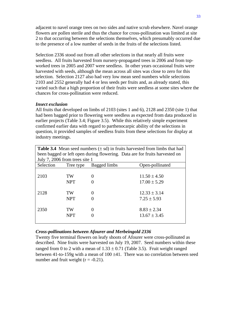adjacent to navel orange trees on two sides and native scrub elsewhere. Navel orange flowers are pollen sterile and thus the chance for cross-pollination was limited at site 2 to that occurring between the selections themselves, which presumably occurred due to the presence of a low number of seeds in the fruits of the selections listed.

Selection 2336 stood out from all other selections in that nearly all fruits were seedless. All fruits harvested from nursery-propagated trees in 2006 and from topworked trees in 2005 and 2007 were seedless. In other years occasional fruits were harvested with seeds, although the mean across all sites was close to zero for this selection. Selection 2127 also had very low mean seed numbers while selections 2103 and 2552 generally had 4 or less seeds per fruits and, as already stated, this varied such that a high proportion of their fruits were seedless at some sites where the chances for cross-pollination were reduced.

#### *Insect exclusion*

All fruits that developed on limbs of 2103 (sites 1 and 6), 2128 and 2350 (site 1) that had been bagged prior to flowering were seedless as expected from data produced in earlier projects (Table 3.4; Figure 3.5). While this relatively simple experiment confirmed earlier data with regard to parthenocarpic ability of the selections in question, it provided samples of seedless fruits from these selections for display at industry meetings.

| <b>Table 3.4</b> Mean seed numbers $(\pm sd)$ in fruits harvested from limbs that had |            |                   |                  |
|---------------------------------------------------------------------------------------|------------|-------------------|------------------|
| been bagged or left open during flowering. Data are for fruits harvested on           |            |                   |                  |
| July 7, 2006 from trees site 1                                                        |            |                   |                  |
| Selection                                                                             | Tree type  | Bagged limbs      | Open-pollinated  |
|                                                                                       |            |                   |                  |
| 2103                                                                                  | TW         | $\mathbf{\Omega}$ | $11.50 \pm 4.50$ |
|                                                                                       | <b>NPT</b> |                   | $17.00 \pm 5.29$ |
|                                                                                       |            |                   |                  |
| 2128                                                                                  | TW         | 0                 | $12.33 \pm 3.14$ |
|                                                                                       | <b>NPT</b> |                   | $7.25 \pm 5.93$  |
|                                                                                       |            |                   |                  |
| 2350                                                                                  | TW         | 0                 | $8.83 \pm 2.34$  |
|                                                                                       | <b>NPT</b> |                   | $13.67 \pm 3.45$ |
|                                                                                       |            |                   |                  |

#### *Cross-pollinations between Afourer and Merbeingold 2336*

Twenty five terminal flowers on leafy shoots of Afourer were cross-pollinated as described. Nine fruits were harvested on July 19, 2007. Seed numbers within these ranged from 0 to 2 with a mean of  $1.33 \pm 0.71$  (Table 3.5). Fruit weight ranged between 41-to-159g with a mean of 100 ±41. There was no correlation between seed number and fruit weight  $(r = -0.21)$ .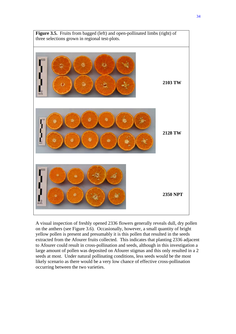

A visual inspection of freshly opened 2336 flowers generally reveals dull, dry pollen on the anthers (see Figure 3.6). Occasionally, however, a small quantity of bright yellow pollen is present and presumably it is this pollen that resulted in the seeds extracted from the Afourer fruits collected. This indicates that planting 2336 adjacent to Afourer could result in cross-pollination and seeds, although in this investigation a large amount of pollen was deposited on Afourer stigmas and this only resulted in a 2 seeds at most. Under natural pollinating conditions, less seeds would be the most likely scenario as there would be a very low chance of effective cross-pollination occurring between the two varieties.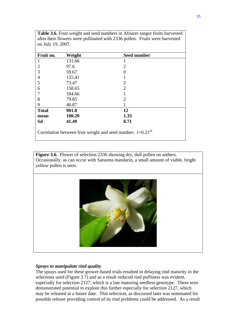| Fruit no.      | Weight | <b>Seed number</b> |
|----------------|--------|--------------------|
|                | 131.66 | 1                  |
| $\overline{2}$ | 97.6   | 2                  |
| 3              | 59.67  |                    |
| $\overline{4}$ | 155.41 |                    |
| 5              | 73.47  | $\overline{2}$     |
| 6              | 158.65 | $\overline{2}$     |
|                | 104.66 |                    |
| 8              | 79.85  | $\overline{2}$     |
| 9              | 40.87  |                    |
| <b>Total</b>   | 901.8  | 12                 |
| mean           | 100.20 | 1.33               |
| Sd             | 41.49  | 0.71               |

**Table 3.6.** Fruit weight and seed numbers in Afourer tangor fruits harvested after their flowers were pollinated with 2336 pollen. Fruits were harvested

**Figure 3.6.** Flower of selection 2336 showing dry, dull pollen on anthers. Occasionally, as can occur with Satsuma mandarin, a small amount of viable, bright yellow pollen is seen.



## *Sprays to manipulate rind quality*

The sprays used for these grower-based trials resulted in delaying rind maturity in the selections used (Figure 3.7) and as a result reduced rind puffiness was evident, especially for selection 2127, which is a late maturing seedless genotype. These tests demonstrated potential to explore this further especially for selection 2127, which may be released at a future date. This selection, as discussed later was nominated for possible release providing control of its rind problems could be addressed. As a result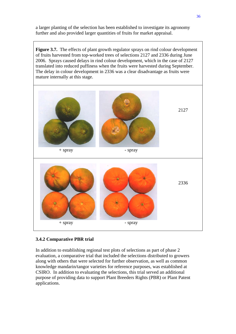a larger planting of the selection has been established to investigate its agronomy further and also provided larger quantities of fruits for market appraisal.

**Figure 3.7.** The effects of plant growth regulator sprays on rind colour development of fruits harvested from top-worked trees of selections 2127 and 2336 during June 2006. Sprays caused delays in rind colour development, which in the case of 2127 translated into reduced puffiness when the fruits were harvested during September. The delay in colour development in 2336 was a clear disadvantage as fruits were mature internally at this stage.



## **3.4.2 Comparative PBR trial**

In addition to establishing regional test plots of selections as part of phase 2 evaluation, a comparative trial that included the selections distributed to growers along with others that were selected for further observation, as well as common knowledge mandarin/tangor varieties for reference purposes, was established at CSIRO. In addition to evaluating the selections, this trial served an additional purpose of providing data to support Plant Breeders Rights (PBR) or Plant Patent applications.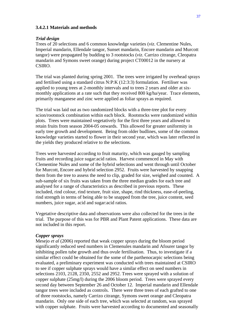#### **3.4.2.1 Materials and methods**

#### *Trial design*

Trees of 20 selections and 6 common knowledge varieties (*viz*. Clementine Nules, Imperial mandarin, Ellendale tangor, Sunset mandarin, Encore mandarin and Murcott tangor) were propagated by budding to 3 rootstocks (*viz*. Carrizo citrange, Cleopatra mandarin and Symons sweet orange) during project CT00012 in the nursery at CSIRO.

The trial was planted during spring 2001. The trees were irrigated by overhead sprays and fertilised using a standard citrus N:P:K (12:3:3) formulation. Fertiliser was applied to young trees at 2-monthly intervals and to trees 2 years and older at sixmonthly applications at a rate such that they received 800 kg/ha/year. Trace elements, primarily manganese and zinc were applied as foliar sprays as required.

The trial was laid out as two randomized blocks with a three-tree plot for every scion/rootstock combination within each block. Rootstocks were randomized within plots. Trees were maintained vegetatively for the first three years and allowed to retain fruits from season 2004-05 onwards. This allowed for greater uniformity in early tree growth and development. Being from older budlines, some of the common knowledge varieties started to flower in their second year, which was later reflected in the yields they produced relative to the selections.

Trees were harvested according to fruit maturity, which was gauged by sampling fruits and recording juice sugar:acid ratios. Harvest commenced in May with Clementine Nules and some of the hybrid selections and went through until October for Murcott, Encore and hybrid selection 2952. Fruits were harvested by snapping them from the tree to assess the need to clip, graded for size, weighed and counted. A sub-sample of six fruits was taken from the three median grades for each tree and analysed for a range of characteristics as described in previous reports. These included, rind colour, rind texture, fruit size, shape, rind thickness, ease-of-peeling, rind strength in terms of being able to be snapped from the tree, juice content, seed numbers, juice sugar, acid and sugar:acid ratios.

Vegetative descriptive data and observations were also collected for the trees in the trial. The purpose of this was for PBR and Plant Patent applications. These data are not included in this report.

#### *Copper sprays*

Mesejo *et al* (2006) reported that weak copper sprays during the bloom period significantly reduced seed numbers in Clemenules mandarin and Afourer tangor by inhibiting pollen tube growth and thus ovule fertilisation. Thus, to investigate if a similar effect could be obtained for the some of the parthenocarpic selections being evaluated, a preliminary experiment was conducted with trees maintained at CSIRO to see if copper sulphate sprays would have a similar effect on seed numbers in selections 2103, 2128, 2350, 2552 and 2952. Trees were sprayed with a solution of copper sulphate (25mg/l) during the 2006 bloom period. Trees were sprayed every second day between September 26 and October 12. Imperial mandarin and Ellendale tangor trees were included as controls. There were three trees of each grafted to one of three rootstocks, namely Carrizo citrange, Symons sweet orange and Cleopatra mandarin. Only one side of each tree, which was selected at random, was sprayed with copper sulphate. Fruits were harvested according to documented and seasonally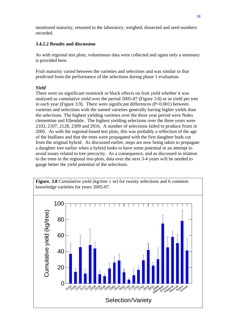monitored maturity, returned to the laboratory, weighed, dissected and seed numbers recorded.

# **3.4.2.2 Results and discussion**

As with regional test plots, voluminous data were collected and again only a summary is provided here.

Fruit maturity varied between the varieties and selections and was similar to that predicted from the performance of the selections during phase 1 evaluation.

# *Yield*

There were no significant rootstock or block effects on fruit yield whether it was analysed as cumulative yield over the period 2005-07 (Figure 3.8) or as yield per tree in each year (Figure 3.9). There were significant differences (P<0.001) between varieties and selections with the named varieties generally having higher yields than the selections. The highest yielding varieties over the three year period were Nules clementine and Ellendale. The highest yielding selections over the three years were 2103, 2107, 2128, 2309 and 2916. A number of selections failed to produce fruits in 2005. As with the regional-based test plots, this was probably a reflection of the age of the budlines and that the trees were propagated with the first daughter buds cut from the original hybrid. As discussed earlier, steps are now being taken to propagate a daughter tree earlier when a hybrid looks to have some potential in an attempt to avoid issues related to tree precocity. As a consequence, and as discussed in relation to the trees in the regional test-plots, data over the next 3-4 years will be needed to gauge better the yield potential of the selections.

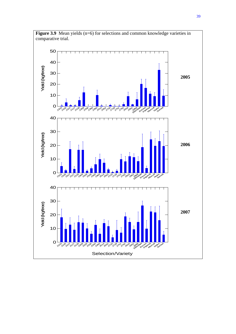

**Figure 3.9** Mean yields (n=6) for selections and common knowledge varieties in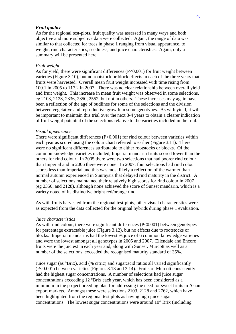#### *Fruit quality*

As for the regional test-plots, fruit quality was assessed in many ways and both objective and more subjective data were collected. Again, the range of data was similar to that collected for trees in phase 1 ranging from visual appearance, to weight, rind characteristics, seediness, and juice characteristics. Again, only a summary will be presented here.

#### *Fruit weight*

As for yield, there were significant differences (P<0.001) for fruit weight between varieties (Figure 3.10), but no rootstock or block effects in each of the three years that fruits were harvested. Overall mean fruit weight increased with time rising from 100.1 in 2005 to 117.2 in 2007. There was no clear relationship between overall yield and fruit weight. This increase in mean fruit weight was observed in some selections, eg 2103, 2128, 2336, 2350, 2552, but not in others. These increases may again have been a reflection of the age of budlines for some of the selections and the division between vegetative and reproductive growth in some genotypes. As with yield, it will be important to maintain this trial over the next 3-4 years to obtain a clearer indication of fruit weight potential of the selections relative to the varieties included in the trial.

#### *Visual appearance*

There were significant differences  $(P<0.001)$  for rind colour between varieties within each year as scored using the colour chart referred to earlier (Figure 3.11). There were no significant differences attributable to either rootstocks or blocks. Of the common knowledge varieties included, Imperial mandarin fruits scored lower than the others for rind colour. In 2005 there were two selections that had poorer rind colour than Imperial and in 2006 there were none. In 2007, four selections had rind colour scores less than Imperial and this was most likely a reflection of the warmer than normal autumn experienced in Sunraysia that delayed rind maturity in the district. A number of selections maintained their relatively high scores for rind colour in 2007 (eg 2350, and 2128), although none achieved the score of Sunset mandarin, which is a variety noted of its distinctive bright red/orange rind.

As with fruits harvested from the regional test-plots, other visual characteristics were as expected from the data collected for the original hybrids during phase 1 evaluation.

#### *Juice characteristics*

As with rind colour, there were significant differences  $(P<0.001)$  between genotypes for percentage extractable juice (Figure 3.12), but no effects due to rootstocks or blocks. Imperial mandarins had the lowest % juice of 6 common knowledge varieties and were the lowest amongst all genotypes in 2005 and 2007. Ellendale and Encore fruits were the juiciest in each year and, along with Sunset, Murcott as well as a number of the selections, exceeded the recognised maturity standard of 35%.

Juice sugar (as °Brix), acid (% citric) and sugar:acid ratios all varied significantly (P<0.001) between varieties (Figures 3.13 and 3.14). Fruits of Murcott consistently had the highest sugar concentrations. A number of selections had juice sugar concentrations exceeding 12 °Brix each year, which has been considered as a minimum in the project breeding plan for addressing the need for sweet fruits in Asian export markets. Amongst these were selections 2103, 2128 and 2762, which have been highlighted from the regional test plots as having high juice sugar concentrations. The lowest sugar concentrations were around 10° Brix (including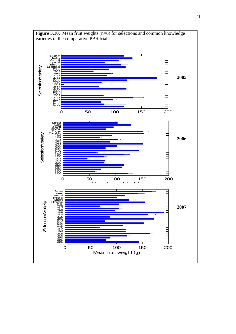

**Figure 3.10.** Mean fruit weights (n=6) for selections and common knowledge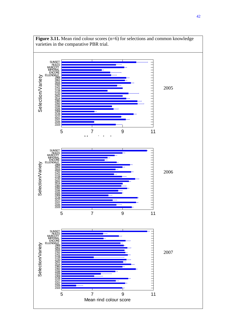

**Figure 3.11.** Mean rind colour scores (n=6) for selections and common knowledge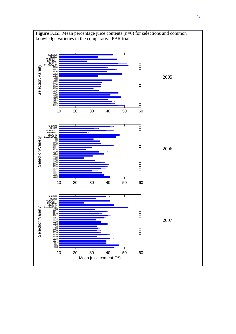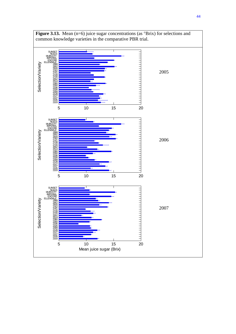

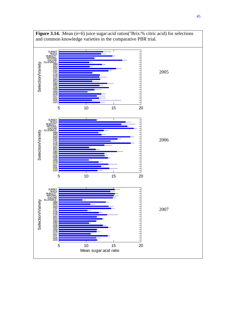

**Figure 3.14.** Mean (n=6) juice sugar:acid ratios(°Brix:% citric acid) for selections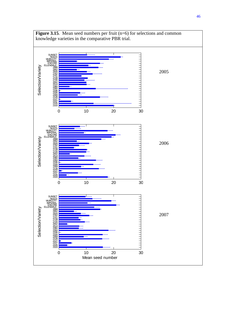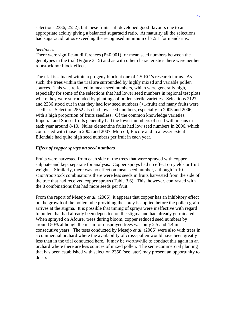selections 2336, 2552), but these fruits still developed good flavours due to an appropriate acidity giving a balanced sugar:acid ratio. At maturity all the selections had sugar:acid ratios exceeding the recognised minimum of 7.5:1 for mandarins.

## *Seediness*

There were significant differences  $(P<0.001)$  for mean seed numbers between the genotypes in the trial (Figure 3.15) and as with other characteristics there were neither rootstock nor block effects.

The trial is situated within a progeny block at one of CSIRO's research farms. As such, the trees within the trial are surrounded by highly mixed and variable pollen sources. This was reflected in mean seed numbers, which were generally high, especially for some of the selections that had lower seed numbers in regional test plots where they were surrounded by plantings of pollen sterile varieties. Selections 2127 and 2336 stood out in that they had low seed numbers  $\left\langle \langle 1/f\right\rangle$  and many fruits were seedless. Selection 2552 also had low seed numbers, especially in 2005 and 2006, with a high proportion of fruits seedless. Of the common knowledge varieties, Imperial and Sunset fruits generally had the lowest numbers of seed with means in each year around 8-10. Nules clementine fruits had low seed numbers in 2006, which contrasted with those in 2005 and 2007. Murcott, Encore and to a lesser extent Ellendale had quite high seed numbers per fruit in each year.

## *Effect of copper sprays on seed numbers*

Fruits were harvested from each side of the trees that were sprayed with copper sulphate and kept separate for analysis. Copper sprays had no effect on yields or fruit weights. Similarly, there was no effect on mean seed number, although in 10 scion/rootstock combinations there were less seeds in fruits harvested from the side of the tree that had received copper sprays (Table 3.6). This, however, contrasted with the 8 combinations that had more seeds per fruit.

From the report of Mesejo *et al.* (2006), it appears that copper has an inhibitory effect on the growth of the pollen tube providing the spray is applied before the pollen grain arrives at the stigma. It is possible that timing of sprays were ineffective with regard to pollen that had already been deposited on the stigma and had already germinated. When sprayed on Afourer trees during bloom, copper reduced seed numbers by around 50% although the mean for unsprayed trees was only 2.5 and 4.4 in consecutive years. The tests conducted by Mesejo *et al.* (2006) were also with trees in a commercial orchard where the availability of cross-pollen would have been greatly less than in the trial conducted here. It may be worthwhile to conduct this again in an orchard where there are less sources of mixed pollen. The semi-commercial planting that has been established with selection 2350 (see later) may present an opportunity to do so.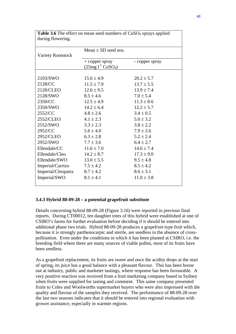| <b>Variety Rootstock</b> | Mean $\pm$ SD seed nos.                |                |
|--------------------------|----------------------------------------|----------------|
|                          | $+$ copper spray<br>$(25mg l-1 CuSO4)$ | - copper spray |
|                          |                                        |                |
| 2103/SWO                 | $15.6 \pm 4.9$                         | $20.2 \pm 5.7$ |
| 2128/CC                  | $11.5 \pm 7.9$                         | $13.7 \pm 5.5$ |
| 2128/CLEO                | $12.6 \pm 9.5$                         | $13.9 \pm 7.4$ |
| 2128/SWO                 | $8.5 \pm 4.6$                          | $7.0 \pm 5.4$  |
| 2350/CC                  | $12.5 \pm 4.9$                         | $11.3 \pm 8.6$ |
| 2350/SWO                 | $14.2 \pm 6.4$                         | $12.2 \pm 5.7$ |
| 2552/CC                  | $4.8 \pm 2.6$                          | $3.4 \pm 0.5$  |
| 2552/CLEO                | $4.1 \pm 2.3$                          | $5.0 \pm 3.2$  |
| 2552/SWO                 | $3.3 \pm 2.3$                          | $3.8 \pm 2.2$  |
| 2952/CC                  | $5.6 \pm 4.0$                          | $7.9 \pm 2.6$  |
| 2952/CLEO                | $6.3 \pm 2.8$                          | $5.2 \pm 2.4$  |
| 2952/SWO                 | $7.7 \pm 3.6$                          | $6.4 \pm 2.7$  |
| Ellendale/CC             | $11.6 \pm 7.0$                         | $14.6 \pm 7.4$ |
| Ellendale/Cleo           | $14.2 \pm 8.7$                         | $17.3 \pm 9.0$ |
| Ellendale/SWO            | $13.0 \pm 5.5$                         | $9.5 \pm 4.8$  |
| Imperial/Carrizo         | $7.5 \pm 4.2$                          | $8.5 \pm 4.2$  |
| Imperial/Cleopatra       | $8.7 \pm 4.2$                          | $8.6 \pm 3.1$  |
| Imperial/SWO             | $8.1 \pm 4.1$                          | $11.0 \pm 3.8$ |
|                          |                                        |                |

**Table 3.6** The effect on mean seed numbers of CuSO<sub>4</sub> sprays applied during flowering.

## **3.4.3 Hybrid 88-09-28 – a potential grapefruit substitute**

Details concerning hybrid 88-09-28 (Figure 3.16) were reported in previous final reports. During CT00012, ten daughter trees of this hybrid were established at one of CSIRO's farms for further evaluation before deciding if it should be entered into additional phase two trials. Hybrid 88-09-28 produces a grapefruit-type fruit which, because it is strongly parthenocarpic and sterile, are seedless in the absence of crosspollination. Even under the conditions in which it has been planted at CSIRO, i.e. the breeding field where there are many sources of viable pollen, most of its fruits have been seedless.

As a grapefruit replacement, its fruits are sweet and once the acidity drops at the start of spring, its juice has a good balance with a pleasant flavour. This has been borne out at industry, public and marketer tastings, where response has been favourable. A very positive reaction was received from a fruit marketing company based in Sydney when fruits were supplied for tasting and comment. This same company presented fruits to Coles and Woolworths supermarket buyers who were also impressed with the quality and flavour of the samples they received. The performance of 88-09-28 over the last two seasons indicates that it should be entered into regional evaluation with grower assistance, especially in warmer regions.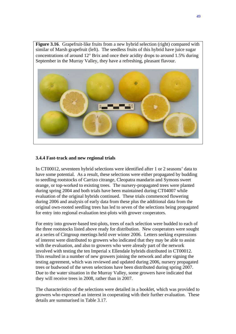Figure 3.16. Grapefruit-like fruits from a new hybrid selection (right) compared with similar of Marsh grapefruit (left). The seedless fruits of this hybrid have juice sugar concentrations of around 12° Brix and once their acidity drops to around 1.5% during September in the Murray Valley, they have a refreshing, pleasant flavour.



## **3.4.4 Fast-track and new regional trials**

In CT00012, seventeen hybrid selections were identified after 1 or 2 seasons' data to have some potential. As a result, these selections were either propagated by budding to seedling rootstocks of Carrizo citrange, Cleopatra mandarin and Symons sweet orange, or top-worked to existing trees. The nursery-propagated trees were planted during spring 2004 and both trials have been maintained during CT04007 while evaluation of the original hybrids continued. These trials commenced flowering during 2006 and analysis of early data from these plus the additional data from the original own-rooted seedling trees has led to seven of the selections being propagated for entry into regional evaluation test-plots with grower cooperators.

For entry into grower-based test-plots, trees of each selection were budded to each of the three rootstocks listed above ready for distribution. New cooperators were sought at a series of Cittgroup meetings held over winter 2006. Letters seeking expressions of interest were distributed to growers who indicated that they may be able to assist with the evaluation, and also to growers who were already part of the network involved with testing the ten Imperial x Ellendale hybrids distributed in CT00012. This resulted in a number of new growers joining the network and after signing the testing agreement, which was reviewed and updated during 2006, nursery propagated trees or budwood of the seven selections have been distributed during spring 2007. Due to the water situation in the Murray Valley, some growers have indicated that they will receive trees in 2008, rather than in 2007.

The characteristics of the selections were detailed in a booklet, which was provided to growers who expressed an interest in cooperating with their further evaluation. These details are summarised in Table 3.17.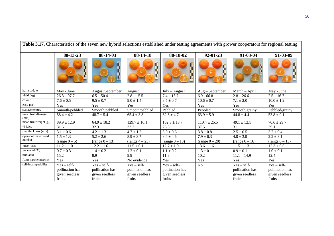|                             | Table 3.17. Characteristics of the seven new hybrid selections established under testing agreements with grower cooperators for regional testing. |                  |                  |                  |                  |                  |                  |
|-----------------------------|---------------------------------------------------------------------------------------------------------------------------------------------------|------------------|------------------|------------------|------------------|------------------|------------------|
|                             | 88-13-23                                                                                                                                          | 88-14-03         | 88-14-18         | 88-18-02         | $92 - 01 - 23$   | 91-03-04         | 91-03-09         |
|                             |                                                                                                                                                   | ŗ<br>)<br>I      | ĺ,<br>Ŀ          |                  | Р                |                  |                  |
|                             |                                                                                                                                                   |                  |                  |                  |                  |                  |                  |
| harvest date                | May - June                                                                                                                                        | August/September | August           | $July - August$  | $Aug-September$  | March - April    | May - June       |
| yield (kg)                  | $26.3 - 97.7$                                                                                                                                     | $6.5 - 50.4$     | $2.8 - 15.5$     | $7.4 - 15.7$     | $6.9 - 66.8$     | $2.8 - 26.6$     | $2.5 - 16.7$     |
| colour                      | $7.6 \pm 0.5$                                                                                                                                     | $9.5 \pm 0.7$    | $9.0 \pm 1.4$    | $8.5 \pm 0.7$    | $10.6 \pm 0.7$   | $7.1\pm2.0$      | $10.0 \pm 1.2$   |
| easy-peel                   | <b>Yes</b>                                                                                                                                        | Yes              | Yes              | Yes              | Yes              | Yes              | Yes              |
| surface texture             | Smooth/pebbled                                                                                                                                    | Smooth/pebbled   | Smooth/pebbled   | Pebbled          | Pebbled          | Smooth/grainy    | Pebbled/grainy   |
| mean fruit diameter<br>(mm) | $58.4 \pm 4.2$                                                                                                                                    | $48.7 \pm 5.4$   | $65.4 \pm 3.8$   | $62.6 \pm 4.7$   | $63.9 \pm 5.9$   | $44.8 \pm 4.4$   | $53.8 \pm 9.1$   |
| mean fruit weight (g)       | $89.9 \pm 12.9$                                                                                                                                   | $64.9 \pm 18.2$  | $129.7 \pm 16.1$ | $102.3 \pm 13.7$ | $110.4 \pm 25.5$ | $49.1 \pm 12.1$  | $70.6 \pm 29.7$  |
| % juice                     | 31.6                                                                                                                                              | 32.3             | 33.3             | 26.3             | 37.5             | 31               | 39.1             |
| rind thickness (mm)         | $3.1 \pm 0.6$                                                                                                                                     | $4.2 \pm 1.3$    | $4.7 \pm 1.2$    | $5.0 \pm 0.6$    | $3.8 \pm 0.8$    | $2.5 \pm 0.5$    | $3.2 \pm 0.4$    |
| open-pollinated seed        | $1.5 \pm 1.3$                                                                                                                                     | $5.2 \pm 2.6$    | $8.9 \pm 3.7$    | $8.4 \pm 4.6$    | $7.9 \pm 6.3$    | $4.0 \pm 3.9$    | $2.2 \pm 3.1$    |
| number                      | $(range(0-5)$                                                                                                                                     | $(range 0 - 13)$ | $(range 4 - 23)$ | $(range 0 - 18)$ | $(range 0 - 20)$ | $(range 0 - 16)$ | $(range 0 - 13)$ |
| juice °brix                 | $11.2 \pm 1.0$                                                                                                                                    | $12.2 \pm 1.6$   | $11.5 \pm 0.1$   | $12.7 \pm 1.0$   | $13.6 \pm 1.6$   | $11.5 \pm 1.3$   | $12.3 \pm 0.6$   |
| juice acid (%)              | $0.7 \pm 0.3$                                                                                                                                     | $1.4 \pm 0.2$    | $1.2 \pm 0.1$    | $1.1 \pm 0.2$    | $1.3 \pm 0.1$    | $0.9 \pm 0.1$    | $1.0 \pm 0.1$    |
| brix:acid                   | 15.2                                                                                                                                              | 8.9              | 9.9              | 11.8             | 10.2             | $11.1 - 14.9$    | 12.4             |
| Auto-parthenocarpic         | Yes                                                                                                                                               | Yes              | No evidence      | Yes              | Yes              | Yes              | Yes              |
| self-incompatibility        | $Yes - self$                                                                                                                                      | $Yes - self$     | $Yes - self$     | $Yes - self -$   | No               | $Yes - self -$   | $Yes - self$     |
|                             | pollination has                                                                                                                                   | pollination has  | pollination has  | pollination has  |                  | pollination has  | pollination has  |
|                             | given seedless                                                                                                                                    | given seedless   | given seedless   | given seedless   |                  | given seedless   | given seedless   |
|                             | fruits                                                                                                                                            | fruits           | fruits           | fruits           |                  | fruits           | fruits           |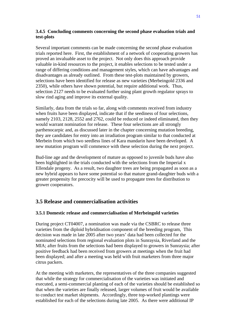## **3.4.5 Concluding comments concerning the second phase evaluation trials and test-plots**

Several important comments can be made concerning the second phase evaluation trials reported here. First, the establishment of a network of cooperating growers has proved an invaluable asset to the project. Not only does this approach provide valuable in-kind resources to the project, it enables selections to be tested under a range of differing conditions and management styles, which can have advantages and disadvantages as already outlined. From these test-plots maintained by growers, selections have been identified for release as new varieties (Merbeingold 2336 and 2350), while others have shown potential, but require additional work. Thus, selection 2127 needs to be evaluated further using plant growth regulator sprays to slow rind aging and improve its external quality.

Similarly, data from the trials so far, along with comments received from industry when fruits have been displayed, indicate that if the seediness of four selections, namely 2103, 2128, 2552 and 2762, could be reduced or indeed eliminated, then they would warrant nomination for release. These four selections are all strongly parthenocarpic and, as discussed later in the chapter concerning mutation breeding, they are candidates for entry into an irradiation program similar to that conducted at Merbein from which two seedless lines of Kara mandarin have been developed. A new mutation program will commence with these selection during the next project.

Bud-line age and the development of mature as opposed to juvenile buds have also been highlighted in the trials conducted with the selections from the Imperial x Ellendale progeny. As a result, two daughter trees are being propagated as soon as a new hybrid appears to have some potential so that mature grand-daughter buds with a greater propensity for precocity will be used to propagate trees for distribution to grower cooperators.

# **3.5 Release and conmercialisation activities**

## **3.5.1 Domestic release and commercialisation of Merbeingold varieties**

During project CT04007, a nomination was made via the CSBRC to release three varieties from the diploid hybridisation component of the breeding program, This decision was made in late 2005 after two years' data had been collected for the nominated selections from regional evaluation plots in Sunraysia, Riverland and the MIA; after fruits from the selections had been displayed to growers in Sunraysia; after positive feedback had been received from growers at meetings when the fruit had been displayed; and after a meeting was held with fruit marketers from three major citrus packers.

At the meeting with marketers, the representatives of the three companies suggested that while the strategy for commercialisation of the varieties was initiated and executed, a semi-commercial planting of each of the varieties should be established so that when the varieties are finally released, larger volumes of fruit would be available to conduct test market shipments. Accordingly, three top-worked plantings were established for each of the selections during late 2005. As there were additional IP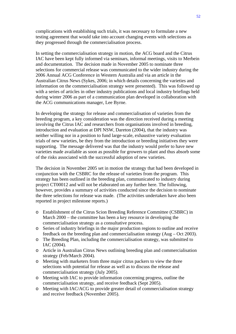complications with establishing such trials, it was necessary to formulate a new testing agreement that would take into account changing events with selections as they progressed through the commercialisation process.

In setting the commercialisation strategy in motion, the ACG board and the Citrus IAC have been kept fully informed via seminars, informal meetings, visits to Merbein and documentation. The decision made in November 2005 to nominate three selections for commercial release was communicated to the wider industry during the 2006 Annual ACG Conference in Western Australia and via an article in the Australian Citrus News (Sykes, 2006; in which details concerning the varieties and information on the commercialisation strategy were presented). This was followed up with a series of articles in other industry publications and local industry briefings held during winter 2006 as part of a communication plan developed in collaboration with the ACG communications manager, Lee Byrne.

In developing the strategy for release and commercialisation of varieties from the breeding program, a key consideration was the direction received during a meeting involving the Citrus IAC and researchers from organisations involved in breeding, introduction and evaluation at DPI NSW, Dareton (2004), that the industry was neither willing nor in a position to fund large-scale, exhaustive variety evaluation trials of new varieties, be they from the introduction or breeding initiatives they were supporting. The message delivered was that the industry would prefer to have new varieties made available as soon as possible for growers to plant and thus absorb some of the risks associated with the successful adoption of new varieties.

The decision in November 2005 set in motion the strategy that had been developed in conjunction with the CSBRC for the release of varieties from the program. This strategy has been outlined in the breeding plan, communicated to industry during project CT00012 and will not be elaborated on any further here. The following, however, provides a summary of activities conducted since the decision to nominate the three selections for release was made. (The activities undertaken have also been reported in project milestone reports.)

- o Establishment of the Citrus Scion Breeding Reference Committee (CSBRC) in March 2000 – the committee has been a key resource in developing the commercialisation strategy as a consultative process.
- o Series of industry briefings in the major production regions to outline and receive feedback on the breeding plan and commercialisation strategy (Aug – Oct 2003).
- o The Breeding Plan, including the commercialisation strategy, was submitted to IAC (2004).
- o Article in Australian Citrus News outlining breeding plan and commercialisation strategy (Feb/March 2004).
- o Meeting with marketers from three major citrus packers to view the three selections with potential for release as well as to discuss the release and commercialisation strategy (July 2005).
- o Meeting with IAC to provide information concerning progress, outline the commercialisation strategy, and receive feedback (Sept 2005).
- o Meeting with IAC/ACG to provide greater detail of commercialisation strategy and receive feedback (November 2005).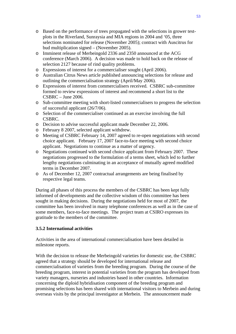- o Based on the performance of trees propagated with the selections in grower testplots in the Riverland, Sunraysia and MIA regions in 2004 and '05, three selections nominated for release (November 2005); contract with Auscitrus for bud multiplication signed – (November 2005).
- o Imminent release of Merbeingold 2336 and 2350 announced at the ACG conference (March 2006). A decision was made to hold back on the release of selection 2127 because of rind quality problems.
- o Expressions of interest for a commercialiser sought (April 2006).
- o Australian Citrus News article published announcing selections for release and outlining the commercialisation strategy (April/May 2006).
- o Expressions of interest from commercialisers received. CSBRC sub-committee formed to review expressions of interest and recommend a short list to the CSBRC – June 2006.
- o Sub-committee meeting with short-listed commercialisers to progress the selection of successful applicant (26/7/06).
- o Selection of the commercialiser continued as an exercise involving the full CSBRC.
- o Decision to advise successful applicant made December 22, 2006.
- o February 8 2007, selected applicant withdrew.
- o Meeting of CSBRC February 14, 2007 agreed to re-open negotiations with second choice applicant. February 17, 2007 face-to-face meeting with second choice applicant. Negotiations to continue as a matter of urgency.
- o Negotiations continued with second choice applicant from February 2007. These negotiations progressed to the formulation of a terms sheet, which led to further lengthy negotiations culminating in an acceptance of mutually agreed modified terms in December 2007.
- o As of December 12, 2007 contractual arrangements are being finalised by respective legal teams.

During all phases of this process the members of the CSBRC has been kept fully informed of developments and the collective wisdom of this committee has been sought in making decisions. During the negotiations held for most of 2007, the committee has been involved in many telephone conferences as well as in the case of some members, face-to-face meetings. The project team at CSIRO expresses its gratitude to the members of the committee.

## **3.5.2 International activities**

Activities in the area of international commercialisation have been detailed in milestone reports.

With the decision to release the Merbeingold varieties for domestic use, the CSBRC agreed that a strategy should be developed for international release and commercialisation of varieties from the breeding program. During the course of the breeding program, interest in potential varieties from the program has developed from variety managers, nurseries and industries based in other countries. Information concerning the diploid hybridisation component of the breeding program and promising selections has been shared with international visitors to Merbein and during overseas visits by the principal investigator at Merbein. The announcement made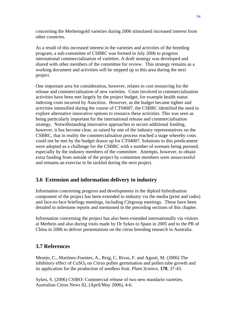concerning the Merbeingold varieties during 2006 stimulated increased interest from other countries.

As a result of this increased interest in the varieties and activities of the breeding program, a sub-committee of CSBRC was formed in July 2006 to progress international commercialisation of varieties. A draft strategy was developed and shared with other members of the committee for review. This strategy remains as a working document and activities will be stepped up in this area during the next project.

One important area for consideration, however, relates to cost resourcing for the release and commercialisation of new varieties. Costs involved in commercialisation activities have been met largely by the project budget, for example health status indexing costs incurred by Auscitrus. However, as the budget became tighter and activities intensified during the course of CT04007, the CSBRC identified the need to explore alternative innovative options to resource these activities. This was seen as being particularly important for the international release and commercialisation strategy. Notwithstanding innovative approaches to secure additional funding, however, it has become clear, as raised by one of the industry representatives on the CSBRC, that in reality the commercialisation process reached a stage whereby costs could not be met by the budget drawn up for CT04007. Solutions to this predicament were adopted as a challenge for the CSBRC with a number of avenues being pursued, especially by the industry members of the committee. Attempts, however, to obtain extra funding from outside of the project by committee members were unsuccessful and remains an exercise to be tackled during the next project.

## **3.6 Extension and information delivery to industry**

Information concerning progress and developments in the diploid hybridisation component of the project has been extended to industry via the media (print and radio) and face-to-face briefings meetings, including Cittgroup meetings. These have been detailed in milestone reports and mentioned in the preceding sections of this chapter.

Information concerning the project has also been extended internationally via visitors at Merbein and also during visits made by Dr Sykes to Spain in 2005 and to the PR of China in 2006 to deliver presentations on the citrus breeding research in Australia.

## **3.7 References**

Mesejo, C., Martinez-Fuentes, A., Reig, C, Rivas, F. and Agusti, M. (2006) The inhibitory effect of CuSO4 on *Citrus* pollen germination and pollen tube growth and its application for the production of seedless fruit. *Plant Science*, **170**, 37-43.

Sykes, S. (2006) CSIRO: Commercial release of two new mandarin varieties. Australian Citrus News 82, (April/May 2006), 4-6.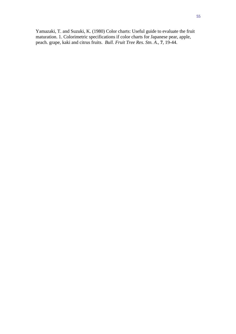Yamazaki, T. and Suzuki, K. (1980) Color charts: Useful guide to evaluate the fruit maturation. 1. Colorimetric specifications if color charts for Japanese pear, apple, peach. grape, kaki and citrus fruits. *Bull. Fruit Tree Res. Stn. A*., **7**, 19-44.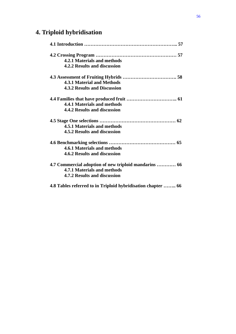# **4. Triploid hybridisation**

| 4.2.1 Materials and methods                                  |
|--------------------------------------------------------------|
| 4.2.2 Results and discussion                                 |
|                                                              |
| <b>4.3.1 Material and Methods</b>                            |
| <b>4.3.2 Results and Discussion</b>                          |
|                                                              |
| 4.4.1 Materials and methods                                  |
| 4.4.2 Results and discussion                                 |
|                                                              |
| 4.5.1 Materials and methods                                  |
| <b>4.5.2 Results and discussion</b>                          |
|                                                              |
| 4.6.1 Materials and methods                                  |
| 4.6.2 Results and discussion                                 |
| 4.7 Commercial adoption of new triploid mandarins  66        |
| 4.7.1 Materials and methods                                  |
| 4.7.2 Results and discussion                                 |
| 4.8 Tables referred to in Triploid hybridisation chapter  66 |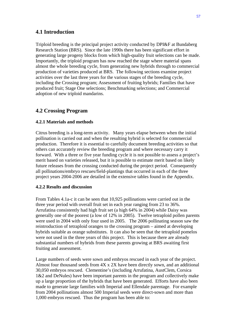# **4.1 Introduction**

Triploid breeding is the principal project activity conducted by DPI&F at Bundaberg Research Station (BRS). Since the late 1990s there has been significant effort in generating large progeny blocks from which high-quality fruit selections can be made. Importantly, the triploid program has now reached the stage where material spans almost the whole breeding cycle, from generating new hybrids through to commercial production of varieties produced at BRS. The following sections examine project activities over the last three years for the various stages of the breeding cycle, including the Crossing program; Assessment of fruiting hybrids; Families that have produced fruit; Stage One selections; Benchmarking selections; and Commercial adoption of new triploid mandarins.

# **4.2 Crossing Program**

## **4.2.1 Materials and methods**

Citrus breeding is a long-term activity. Many years elapse between when the initial pollination is carried out and when the resulting hybrid is selected for commercial production. Therefore it is essential to carefully document breeding activities so that others can accurately review the breeding program and where necessary carry it forward. With a three or five year funding cycle it is not possible to assess a project's merit based on varieties released, but it is possible to estimate merit based on likely future releases from the crossing conducted during the project period. Consequently all pollinations/embryo rescues/field-plantings that occurred in each of the three project years 2004-2006 are detailed in the extensive tables found in the Appendix.

## **4.2.2 Results and discussion**

From Tables 4.1a-c it can be seen that 10,925 pollinations were carried out in the three year period with overall fruit set in each year ranging from 23 to 36%. Arrufatina consistently had high fruit set (a high 64% in 2004) while Daisy was generally one of the poorest (a low of 12% in 2005). Twelve tetraploid pollen parents were used in 2004 with only four used in 2005. The 2006 pollinating season saw the reintroduction of tetraploid oranges to the crossing program – aimed at developing hybrids suitable as orange substitutes. It can also be seen that the tetraploid pomelos were not used in the three years of this project. This is because there are already substantial numbers of hybrids from these parents growing at BRS awaiting first fruiting and assessment.

Large numbers of seeds were sown and embryos rescued in each year of the project. Almost four thousand seeds from 4X x 2X have been directly sown, and an additional 30,050 embryos rescued. Clementine's (including Arrufatina, AustClem, Corsica 1&2 and DeNules) have been important parents in the program and collectively make up a large proportion of the hybrids that have been generated. Efforts have also been made to generate large families with Imperial and Ellendale parentage. For example from 2004 pollinations almost 500 Imperial seeds were direct-sown and more than 1,000 embryos rescued. Thus the program has been able to: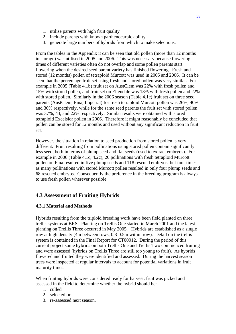- 1. utilise parents with high fruit quality
- 2. include parents with known parthenocarpic ability
- 3. generate large numbers of hybrids from which to make selections.

From the tables in the Appendix it can be seen that old pollen (more than 12 months in storage) was utilised in 2005 and 2006. This was necessary because flowering times of different varieties often do not overlap and some pollen parents start flowering when the desired seed parent variety has finished flowering. Fresh and stored (12 months) pollen of tetraploid Murcott was used in 2005 and 2006. It can be seen that the percentage fruit set using fresh and stored pollen was very similar. For example in 2005 (Table 4.1b) fruit set on AustClem was 22% with fresh pollen and 15% with stored pollen, and fruit set on Ellendale was 13% with fresh pollen and 22% with stored pollen. Similarly in the 2006 season (Table 4.1c) fruit set on three seed parents (AustClem, Fina, Imperial) for fresh tetraploid Murcott pollen was 26%, 40% and 30% respectively, while for the same seed parents the fruit set with stored pollen was 37%, 43, and 22% respectively. Similar results were obtained with stored tetraploid Excelsior pollen in 2006. Therefore it might reasonably be concluded that pollen can be stored for 12 months and used without any significant reduction in fruit set.

However, the situation in relation to seed production from stored pollen is very different. Fruit resulting from pollinations using stored pollen contain significantly less seed, both in terms of plump seed and flat seeds (used to extract embryos). For example in 2006 (Table 4.1c, 4.2c), 20 pollinations with fresh tetraploid Murcott pollen on Fina resulted in five plump seeds and 118 rescued embryos, but four times as many pollinations with stored Murcott pollen resulted in only four plump seeds and 68 rescued embryos. Consequently the preference in the breeding program is always to use fresh pollen wherever possible.

# **4.3 Assessment of Fruiting Hybrids**

#### **4.3.1 Material and Methods**

Hybrids resulting from the triploid breeding work have been field planted on three trellis systems at BRS. Planting on Trellis One started in March 2001 and the latest planting on Trellis Three occurred in May 2005. Hybrids are established as a single row at high density (4m between rows, 0.3-0.5m within row). Detail on the trellis system is contained in the Final Report for CT00012. During the period of this current project some hybrids on both Trellis One and Trellis Two commenced fruiting and were assessed (hybrids on Trellis Three are still too young to fruit). As hybrids flowered and fruited they were identified and assessed. During the harvest season trees were inspected at regular intervals to account for potential variations in fruit maturity times.

When fruiting hybrids were considered ready for harvest, fruit was picked and assessed in the field to determine whether the hybrid should be:

- 1. culled
- 2. selected or
- 3. re-assessed next season.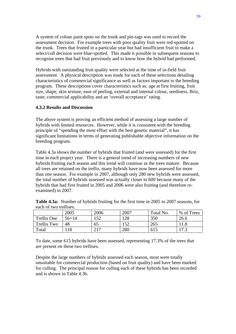A system of colour paint spots on the trunk and pin-tags was used to record the assessment decision. For example trees with poor quality fruit were red-spotted on the trunk. Trees that fruited in a particular year but had insufficient fruit to make a select/cull decision were blue-spotted. This made it possible in subsequent seasons to recognise trees that had fruit previously and to know how the hybrid had performed.

Hybrids with outstanding fruit quality were selected at the time of in-field fruit assessment. A physical description was made for each of these selections detailing characteristics of commercial significance as well as factors important to the breeding program. These descriptions cover characteristics such as: age at first fruiting, fruit size, shape, skin texture, ease of peeling, external and internal colour, seediness, Brix, taste, commercial applicability and an 'overall acceptance' rating.

## **4.3.2 Results and Discussion**

The above system is proving an efficient method of assessing a large number of hybrids with limited resources. However, while it is consistent with the breeding principle of "spending the most effort with the best genetic material", it has significant limitations in terms of generating publishable objective information on the breeding program.

Table 4.3a shows the number of hybrids that fruited (and were assessed) for the first time in each project year. There is a general trend of increasing numbers of new hybrids fruiting each season and this trend will continue as the trees mature. Because all trees are retained on the trellis, many hybrids have now been assessed for more than one season. For example in 2007, although only 280 new hybrids were assessed, the total number of hybrids assessed was actually closer to 600 because many of the hybrids that had first fruited in 2005 and 2006 were also fruiting (and therefore reexamined) in 2007.

| cach of two tichises. |           |      |      |           |            |
|-----------------------|-----------|------|------|-----------|------------|
|                       | 2005      | 2006 | 2007 | Total No. | % of Trees |
| Trellis One           | $56 + 14$ | 52   | 128  | 350       | 26.6       |
| Trellis Two           | 48        | 65   | 52   | 265       | 11.8       |
| Total                 |           | 217  | 280  | 615       | 17.3       |

**Table 4.3a:** Number of hybrids fruiting for the first time in 2005 to 2007 seasons, for each of two trellises.

To date, some 615 hybrids have been assessed, representing 17.3% of the trees that are present on these two trellises.

Despite the large numbers of hybrids assessed each season, most were totally unsuitable for commercial production (based on fruit quality) and have been marked for culling. The principal reason for culling each of these hybrids has been recorded and is shown in Table 4.3b.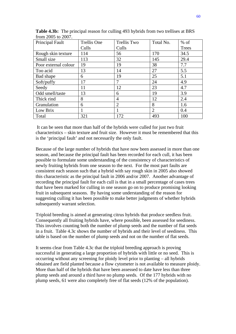| Principal Fault      | Trellis One | Trellis Two    | Total No.      | $%$ of |
|----------------------|-------------|----------------|----------------|--------|
|                      | Culls       | Culls          |                | Trees  |
| Rough skin texture   | 114         | 56             | 170            | 34.5   |
| Small size           | 113         | 32             | 145            | 29.4   |
| Poor external colour | 19          | 19             | 38             | 7.7    |
| Too acid             | 13          | 14             | 27             | 5.5    |
| Bad shape            | 6           | 19             | 25             | 5.1    |
| Soft/puffy           | 17          |                | 24             | 4.9    |
| Seedy                | 11          | 12             | 23             | 4.7    |
| Odd smell/taste      | 13          | 6              | 19             | 3.9    |
| Thick rind           | 8           | 4              | 12             | 2.4    |
| Granulation          | 6           | $\overline{2}$ | 8              | 1.6    |
| Low Brix             |             |                | $\overline{2}$ | 0.4    |
| Total                | 321         | 172            | 493            | 100    |

**Table 4.3b:** The principal reason for culling 493 hybrids from two trellises at BRS from 2005 to 2007.

 It can be seen that more than half of the hybrids were culled for just two fruit characteristics – skin texture and fruit size. However it must be remembered that this is the 'principal fault' and not necessarily the only fault.

Because of the large number of hybrids that have now been assessed in more than one season, and because the principal fault has been recorded for each cull, it has been possible to formulate some understanding of the consistency of characteristics of newly fruiting hybrids from one season to the next. For the most part faults are consistent each season such that a hybrid with say rough skin in 2005 also showed this characteristic as the principal fault in 2006 and/or 2007. Another advantage of recording the principal fault for each cull is that in a small percentage of cases trees that have been marked for culling in one season go on to produce promising looking fruit in subsequent seasons. By having some understanding of the reason for suggesting culling it has been possible to make better judgments of whether hybrids subsequently warrant selection.

Triploid breeding is aimed at generating citrus hybrids that produce seedless fruit. Consequently all fruiting hybrids have, where possible, been assessed for seediness. This involves counting both the number of plump seeds and the number of flat seeds in a fruit. Table 4.3c shows the number of hybrids and their level of seediness. This table is based on the number of plump seeds and not on the number of flat seeds.

It seems clear from Table 4.3c that the triploid breeding approach is proving successful in generating a large proportion of hybrids with little or no seed. This is occurring without any screening for ploidy level prior to planting – all hybrids obtained are field planted because a flow cytometer is not available to measure ploidy. More than half of the hybrids that have been assessed to date have less than three plump seeds and around a third have no plump seeds. Of the 177 hybrids with no plump seeds, 61 were also completely free of flat seeds (12% of the population).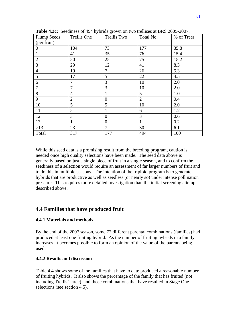| <b>Plump Seeds</b> | Trellis One    | Trellis Two    | Total No.      | % of Trees |
|--------------------|----------------|----------------|----------------|------------|
| (per fruit)        |                |                |                |            |
| $\Omega$           | 104            | 73             | 177            | 35.8       |
|                    | 41             | 35             | 76             | 15.4       |
| $\overline{2}$     | 50             | 25             | 75             | 15.2       |
| 3                  | 29             | 12             | 41             | 8.3        |
| $\overline{4}$     | 19             | 7              | 26             | 5.3        |
| 5                  | 17             | 5              | 22             | 4.5        |
| 6                  | 7              | 3              | 10             | 2.0        |
| 7                  | $\overline{7}$ | 3              | 10             | 2.0        |
| 8                  | $\overline{4}$ | 1              | 5              | 1.0        |
| 9                  | $\overline{2}$ | $\overline{0}$ | $\overline{2}$ | 0.4        |
| 10                 | 5              | 5              | 10             | 2.0        |
| 11                 | 5              |                | 6              | 1.2        |
| 12                 | 3              | $\overline{0}$ | 3              | 0.6        |
| 13                 | 1              | $\overline{0}$ |                | 0.2        |
| $>13$              | 23             | $\overline{7}$ | 30             | 6.1        |
| Total              | 317            | 177            | 494            | 100        |

**Table 4.3c:** Seediness of 494 hybrids grown on two trellises at BRS 2005-2007.

While this seed data is a promising result from the breeding program, caution is needed once high quality selections have been made. The seed data above is generally based on just a single piece of fruit in a single season, and to confirm the seediness of a selection would require an assessment of far larger numbers of fruit and to do this in multiple seasons. The intention of the triploid program is to generate hybrids that are productive as well as seedless (or nearly so) under intense pollination pressure. This requires more detailed investigation than the initial screening attempt described above.

## **4.4 Families that have produced fruit**

## **4.4.1 Materials and methods**

By the end of the 2007 season, some 72 different parental combinations (families) had produced at least one fruiting hybrid. As the number of fruiting hybrids in a family increases, it becomes possible to form an opinion of the value of the parents being used.

## **4.4.2 Results and discussion**

Table 4.4 shows some of the families that have to date produced a reasonable number of fruiting hybrids. It also shows the percentage of the family that has fruited (not including Trellis Three), and those combinations that have resulted in Stage One selections (see section 4.5).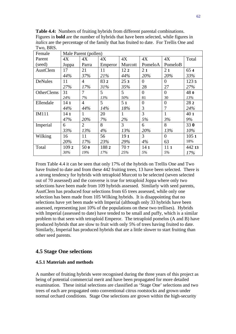**Table 4.4:** Numbers of fruiting hybrids from different parental combinations. Figures in **bold** are the number of hybrids that have been selected, while figures in *italics* are the percentage of the family that has fruited to date. For Trellis One and Two, BRS.

| Female            |                 | Male Parent (pollen) |         |                 |                 |              |             |
|-------------------|-----------------|----------------------|---------|-----------------|-----------------|--------------|-------------|
| Parent            | 4X              | 4X                   | 4X      | 4X              | 4X              | 4X           | Total       |
| (seed)            | Joppa           | Parra                | Emperor | Murcott         | PomeloA         | PomeloB      |             |
| AustClem          | 17              | 21                   | 11      | 122             | 21              | 21           | 654         |
|                   | 44%             | 37%                  | 21%     | 44%             | 20%             | 20%          | 33%         |
| DeNules           | 11              | 4                    | 832     | 253             | $\theta$        | $\Omega$     | 1235        |
|                   | 27%             | 17%                  | 31%     | 35%             | 28              | 27           | 27%         |
| <b>OtherClems</b> | 31              | 7                    | 5       | 5               | $\Omega$        | $\theta$     | 480         |
|                   | 24%             | 7%                   | 13%     | 50%             | 81              | 30           | 13%         |
| Ellendale         | 14 <sub>1</sub> | $\overline{4}$       | 5       | 51              | $\overline{0}$  | $\Omega$     | 28 2        |
|                   | 44%             | 44%                  | 14%     | 18%             | 3               | 7            | 24%         |
| <b>IM111</b>      | 14 <sub>1</sub> | 1                    | 20      | 1               | 3               | $\mathbf{1}$ | 40 1        |
|                   | 47%             | 20%                  | 7%      | 2%              | 5%              | 3%           | 9%          |
| Imperial          | 6               | $\overline{2}$       | 8       | 3               | 6               | 8            | 33 <b>0</b> |
|                   | 33%             | 13%                  | 4%      | 13%             | 20%             | 13%          | 10%         |
| Wilking           | 16              | 11                   | 56      | 19 <sub>1</sub> | 3               | $\Omega$     | 1051        |
|                   | 20%             | 17%                  | 23%     | 29%             | 4%              | 63           | 18%         |
| Total             | 109 2           | 500                  | 1882    | 707             | 14 <sub>1</sub> | 11 1         | 442 13      |
|                   | 30%             | 19%                  | 17%     | 25%             | 5%              | 5%           | 17%         |

From Table 4.4 it can be seen that only 17% of the hybrids on Trellis One and Two have fruited to date and from these 442 fruiting trees, 13 have been selected. There is a strong tendency for hybrids with tetraploid Murcott to be selected (seven selected out of 70 assessed) and the converse is true for tetraploid Joppa where only two selections have been made from 109 hybrids assessed. Similarly with seed parents, AustClem has produced four selections from 65 trees assessed, while only one selection has been made from 105 Wilking hybrids. It is disappointing that no selections have yet been made with Imperial (although only 33 hybrids have been assessed, representing just 10% of the populations on these two trellises). Hybrids with Imperial (assessed to date) have tended to be small and puffy, which is a similar problem to that seen with tetraploid Emperor. The tetraploid pomelos (A and B) have produced hybrids that are slow to fruit with only 5% of trees having fruited to date. Similarly, Imperial has produced hybrids that are a little slower to start fruiting than other seed parents.

## **4.5 Stage One selections**

#### **4.5.1 Materials and methods**

A number of fruiting hybrids were recognised during the three years of this project as being of potential commercial merit and have been propagated for more detailed examination. These initial selections are classified as 'Stage One' selections and two trees of each are propagated onto conventional citrus rootstocks and grown under normal orchard conditions. Stage One selections are grown within the high-security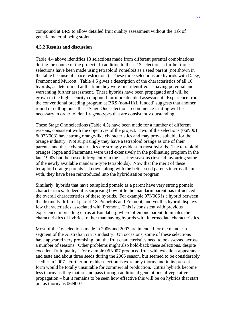compound at BRS to allow detailed fruit quality assessment without the risk of genetic material being stolen.

## **4.5.2 Results and discussion**

Table 4.4 above identifies 13 selections made from different parental combinations during the course of the project. In addition to these 13 selections a further three selections have been made using tetraploid PomeloB as a seed parent (not shown in the table because of space restrictions). These three selections are hybrids with Daisy, Fremont and Murcott. Table 4.5 gives a description of the characteristics of all 16 hybrids, as determined at the time they were first identified as having potential and warranting further assessment. These hybrids have been propagated and will be grown in the high security compound for more detailed assessment. Experience from the conventional breeding program at BRS (non-HAL funded) suggests that another round of culling once these Stage One selections recommence fruiting will be necessary in order to identify genotypes that are consistently outstanding.

These Stage One selections (Table 4.5) have been made for a number of different reasons, consistent with the objectives of the project. Two of the selections (06N001 & 07N003) have strong orange-like characteristics and may prove suitable for the orange industry. Not surprisingly they have a tetraploid orange as one of their parents, and these characteristics are strongly evident in most hybrids. The tetraploid oranges Joppa and Parramatta were used extensively in the pollinating program in the late 1990s but then used infrequently in the last few seasons (instead favouring some of the newly available mandarin-type tetraploids). Now that the merit of these tetraploid orange parents is known, along with the better seed parents to cross them with, they have been reintroduced into the hybridisation program.

Similarly, hybrids that have tetraploid pomelo as a parent have very strong pomelo characteristics. Indeed it is surprising how little the mandarin parent has influenced the overall characteristics of these hybrids. For example 07N006 is a hybrid between the distinctly different parent 4X PomeloB and Fremont, and yet this hybrid displays few characteristics associated with Fremont. This is consistent with previous experience in breeding citrus at Bundaberg where often one parent dominates the characteristics of hybrids, rather than having hybrids with intermediate characteristics.

Most of the 16 selections made in 2006 and 2007 are intended for the mandarin segment of the Australian citrus industry. On occasions, some of these selections have appeared very promising, but the fruit characteristics need to be assessed across a number of seasons. Other problems might also hold-back these selections, despite excellent fruit quality. For example 06N007 produced fruit with excellent appearance and taste and about three seeds during the 2006 season, but seemed to be considerably seedier in 2007. Furthermore this selection is extremely thorny and in its present form would be totally unsuitable for commercial production. Citrus hybrids become less thorny as they mature and pass through additional generations of vegetative propagation – but it remains to be seen how effective this will be on hybrids that start out as thorny as 06N007.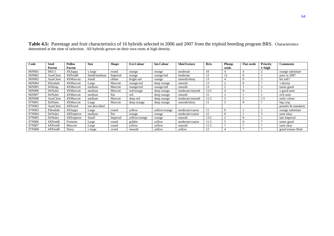| Code   | Seed<br>Parent | Pollen<br>Parent | <b>Size</b>   | <b>Shape</b> | Ext.Colour    | Int.Colour    | <b>SkinTexture</b> | <b>Brix</b> | Plump<br>seeds | <b>Flat seeds</b> | <b>Priority</b><br>$1 = high$ | <b>Comments</b>    |
|--------|----------------|------------------|---------------|--------------|---------------|---------------|--------------------|-------------|----------------|-------------------|-------------------------------|--------------------|
| 06N001 | <b>IM111</b>   | 4XJoppa          | v.large       | round        | orange        | orange        | moderate           | 10          |                |                   |                               | orange substitute  |
| 06N002 | AustClem       | 4XPomB           | Small/medium  | Imperial     | orange        | orange/red    | moderate           | 12          | $1^{\circ}$    |                   |                               | poor in 2007       |
| 06N003 | AustClem       | 4XMurcott        | Small         | oblate       | bright red    | orange        | smooth/shiny       | 13          |                |                   |                               | bit soft?          |
| 06N004 | Ellendale      | 4XMurcott        | Large         | Murcott      | orange/red    | deep orange   | smooth             | 13          |                |                   |                               | v.thorny           |
| 06N005 | Wilking        | 4XMurcott        | medium        | Murcott      | orange/red    | orange/red    | smooth             | 13          |                |                   |                               | tastes good        |
| 06N006 | DeNules        | 4XMurcott        | medium        | Murcott      | red/orange    | deep orange   | moderate/smooth    | 13.5        |                | $\theta$          |                               | v.good taste       |
| 06N007 | DeNules        | 4XMurcott        | medium        | flat         | red           | deep orange   | smooth             | 15          |                |                   |                               | rich taste         |
| 06N008 | AustClem       | 4XMurcott        | medium        | Murcott      | deep red      | deep orange   | moderate/smooth    | 12.5        |                |                   |                               | early colour       |
| 07N001 | DeNules        | 4XMurcott        | Large         | Murcott      | deep orange   | deep orange   | smooth/shinv       |             |                |                   |                               | big crop           |
| 07N002 | AustClem       | 4XPomA           | not described |              |               |               |                    |             |                |                   |                               | pomelo & mandarin  |
| 07N003 | Ellendale      | 4XJoppa          | Large         | round        | vellow        | vellow/orange | moderate/coarse    |             | $\Omega$       |                   |                               | orange substitute  |
| 07N004 | DeNules        | 4XEmperor        | medium        | flat         | orange        | orange        | moderate/coarse    | 12          | $\Omega$       |                   |                               | taste okay         |
| 07N005 | DeNules        | 4XEmperor        | Small         | Imperial     | yellow/orange | orange        | smooth             | 13.5        |                |                   |                               | late Imperial      |
| 07N006 | 4XPomB         | Fremont          | Large         | round        | golden        | yellow        | moderate/coarse    | 11.5        |                |                   |                               | tastes good        |
| 07N007 | 4XPomB         | Murcott          | Large         | round        | yellow        | yellow        | smooth             | 11.5        |                |                   |                               | taste okay         |
| 07N008 | 4XPomB         | Daisy            | v.large       | ovoid        | smooth        | yellow        | yellow             | 12          |                |                   |                               | good texture flesh |

**Table 4.5:** Parentage and fruit characteristics of 16 hybrids selected in 2006 and 2007 from the triploid breeding program BRS. Characteristics determined at the time of selection. All hybrids grown on their own roots at high density.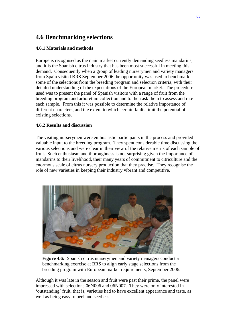# **4.6 Benchmarking selections**

## **4.6.1 Materials and methods**

Europe is recognised as the main market currently demanding seedless mandarins, and it is the Spanish citrus industry that has been most successful in meeting this demand. Consequently when a group of leading nurserymen and variety managers from Spain visited BRS September 2006 the opportunity was used to benchmark some of the selections from the breeding program and selection criteria, with their detailed understanding of the expectations of the European market. The procedure used was to present the panel of Spanish visitors with a range of fruit from the breeding program and arboretum collection and to then ask them to assess and rate each sample. From this it was possible to determine the relative importance of different characters, and the extent to which certain faults limit the potential of existing selections.

## **4.6.2 Results and discussion**

The visiting nurserymen were enthusiastic participants in the process and provided valuable input to the breeding program. They spent considerable time discussing the various selections and were clear in their view of the relative merits of each sample of fruit. Such enthusiasm and thoroughness is not surprising given the importance of mandarins to their livelihood, their many years of commitment to citriculture and the enormous scale of citrus nursery production that they practise. They recognise the role of new varieties in keeping their industry vibrant and competitive.



**Figure 4.6:** Spanish citrus nurserymen and variety managers conduct a benchmarking exercise at BRS to align early stage selections from the breeding program with European market requirements, September 2006.

Although it was late in the season and fruit were past their prime, the panel were impressed with selections 06N006 and 06N007. They were only interested in 'outstanding' fruit, that is, varieties had to have excellent appearance and taste, as well as being easy to peel and seedless.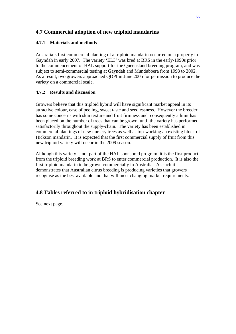# **4.7 Commercial adoption of new triploid mandarins**

# **4.7.1 Materials and methods**

Australia's first commercial planting of a triploid mandarin occurred on a property in Gayndah in early 2007. The variety 'EL3' was bred at BRS in the early-1990s prior to the commencement of HAL support for the Queensland breeding program, and was subject to semi-commercial testing at Gayndah and Mundubbera from 1998 to 2002. As a result, two growers approached QDPI in June 2005 for permission to produce the variety on a commercial scale.

# **4.7.2 Results and discussion**

Growers believe that this triploid hybrid will have significant market appeal in its attractive colour, ease of peeling, sweet taste and seedlessness. However the breeder has some concerns with skin texture and fruit firmness and consequently a limit has been placed on the number of trees that can be grown, until the variety has performed satisfactorily throughout the supply-chain. The variety has been established in commercial plantings of new nursery trees as well as top-working an existing block of Hickson mandarin. It is expected that the first commercial supply of fruit from this new triploid variety will occur in the 2009 season.

Although this variety is not part of the HAL sponsored program, it is the first product from the triploid breeding work at BRS to enter commercial production. It is also the first triploid mandarin to be grown commercially in Australia. As such it demonstrates that Australian citrus breeding is producing varieties that growers recognise as the best available and that will meet changing market requirements.

# **4.8 Tables referred to in triploid hybridisation chapter**

See next page.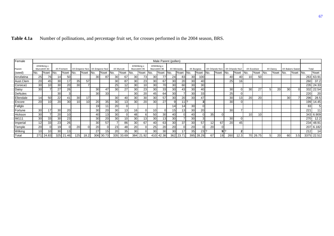| Female         |                 |                 |                 |                 |                 |                 |                               |                 |                 |                 |      |                 |                 | Male Parent (pollen) |                 |                 |                 |                 |                 |      |                               |      |                 |                 |                 |          |      |                 |                 |            |
|----------------|-----------------|-----------------|-----------------|-----------------|-----------------|-----------------|-------------------------------|-----------------|-----------------|-----------------|------|-----------------|-----------------|----------------------|-----------------|-----------------|-----------------|-----------------|-----------------|------|-------------------------------|------|-----------------|-----------------|-----------------|----------|------|-----------------|-----------------|------------|
|                |                 | 4XWilking x     |                 |                 |                 |                 |                               |                 |                 |                 |      | 4XWilking x     |                 | 4XWilking x          |                 |                 |                 |                 |                 |      |                               |      |                 |                 |                 |          |      |                 |                 |            |
| Parent         | Murcott4X 83    |                 |                 | 4X Fremont      |                 |                 | 4X Emperor No1 4X Emperor No2 |                 | 4X Murcott      |                 |      | Murcott4X 95    |                 | Murcott4X 96         |                 | 4X Minneola     |                 | 4X Burgess      |                 |      | 4X Orlando No1 4X Orlando No2 |      |                 | 4X Excelsior    |                 | 4X Dancy |      | 4X Bakers Sweet |                 | Total      |
| (seed)         | INo.            | %set            | IN <sub>o</sub> | %set            | INo.            | %set            | INo.                          | %set            | INo.            | %set            | INo. | %set            | INo.            | %set                 | INo.            | %set            | No.             | %set            | INo.            | %set | No.                           | %set | INo.            | %set            | IN <sub>o</sub> | %set     | INo. | %set            | IN <sub>o</sub> | %set       |
| Arrufatina     | 25              | 76I             | 14I             | 50              |                 |                 | 30                            | 87              | 30 <sub>l</sub> | 67              | 30   | 73              | 30              | 77                   | 24              | 83              | 30              | 100             |                 |      | 40 <sup>I</sup>               | 401  | 10              | 50              |                 |          |      |                 |                 | 263 63.91  |
| Aust.Clem      | 20              | 45I             | 30              | 17              | 35 <sub>l</sub> | 57              |                               |                 | 30 <sup>l</sup> | 87              | 30   | 23              | 30              | 67                   | 30 <sup>1</sup> | 20              | 30 <sup>1</sup> | 40              |                 |      | 25 <sub>l</sub>               | 16   |                 |                 |                 |          |      |                 | 260             | 37.2       |
| Corsica1       | 30 <sub>l</sub> | 10 <sup>1</sup> | 30              | 20              | 30 <sup>l</sup> |                 |                               |                 | 25 <sub>l</sub> | 12              | 30   | 10              | 30              | 70                   | 30 <sup>1</sup> | 60              | 30 <sup>1</sup> | 30 <sup>l</sup> |                 |      |                               |      |                 |                 |                 |          |      |                 |                 | 235 24.33  |
| Daisy          | 30              |                 | 27              | 26              |                 |                 | 30                            | 47              | 30 <sup>l</sup> | 27 <sup>1</sup> | 30   | 23              | 30              | 33 <sup>1</sup>      | 30 <sup>1</sup> | 43              | 30 <sup>1</sup> | 40              |                 |      | 30 <sup>I</sup>               |      | 30              | 27              |                 | 20       | 30   |                 |                 | 332 22.54  |
| <b>DeNules</b> |                 |                 | 30              |                 |                 |                 | 30                            | 33              |                 |                 | 30   | 20              | 45              | 64                   | 30 <sup>1</sup> |                 | 30 <sup>1</sup> | 33 <sub>1</sub> |                 |      | 25                            |      |                 |                 |                 |          |      |                 | 220             | 20         |
| Ellendale      | 14 <sub>l</sub> | 50              | 22              | 41              | 30              | 17              |                               |                 | 30 <sup>l</sup> | 40              | 30   | 30              | 30 <sup>l</sup> | 57                   | 30 <sup>1</sup> | 20              | 30 <sub>l</sub> | 47              |                 |      | 30I                           | 13   | 20              | 20 <sup>1</sup> |                 |          | 30   |                 | 296             | 28.5       |
| Encore         | 20              | 10 <sup>1</sup> | 20              | 30              |                 | 10 <sup>1</sup> | 20                            | 35              | 30 <sup>l</sup> | 131             | 30   | 20 <sup>1</sup> | -30 <b>I</b>    | 27                   | g               | 11 <sup>2</sup> |                 | 31              |                 |      | 30                            |      |                 |                 |                 |          |      |                 | 199             | 14.45      |
| Fallglo        |                 |                 |                 |                 |                 |                 | 19 <sub>1</sub>               |                 | 20              | $\overline{0}$  |      |                 |                 |                      | 14              | 14              | 30 <sub>l</sub> | $\Omega$        |                 |      |                               |      |                 |                 |                 |          |      |                 | 83              |            |
| Fortune        | 30              | 17 <sup>1</sup> | 30              | 20              |                 |                 | 30                            | 20              | 30 <sup>1</sup> | 13              | 16   | $\overline{0}$  | 101             |                      | 15              | 13              | 30 <sub>1</sub> | 20              |                 |      | <b>30</b>                     |      |                 |                 |                 |          |      |                 | 221             |            |
| Hickson        | 30              |                 | 20              | 10 <sub>1</sub> |                 |                 | 40                            | 13 <sub>1</sub> | 30 <sup>1</sup> | $\Omega$        | 48   | 61              | 50              | 30 <sup>1</sup>      | 40              |                 | 40              | $\Omega$        | 35 <sub>l</sub> |      |                               |      | 10 <sub>1</sub> |                 |                 |          |      |                 | 343             | 6.909      |
| <b>IM111</b>   | 30              | 33              | 30              | 23              |                 |                 | 30                            | 20              | 30              | 10              | 30   | 13              | 30 <sub>l</sub> | 13 <sup>l</sup>      | 30              |                 | 30              | 3               |                 |      | <b>30</b>                     |      |                 |                 |                 |          |      |                 | 270             | 12.2       |
| Imperial       | 12              | 33 <sup>1</sup> | 23              | 26              |                 |                 | 30                            | 57              |                 | 86              | 30   | 67              | 40              | 63                   | 30              | 37              | 30              | 57              | 12              | 67   | 20                            | 45   |                 |                 |                 |          |      |                 | 234             | 48.91      |
| Temple         | 20              | ΩI              | 19              | $\Omega$        | 20I             | $\Omega$        | 20                            |                 | 23              | 48              | 20   | $\Omega$        | 25              | 20                   | 20              |                 | 20              | $\Omega$        | 20              |      |                               |      |                 |                 |                 |          |      |                 |                 | 207 6.182  |
| Wilking        | 10              | 10 <sup>1</sup> | 30              | 13              |                 |                 | 27                            | 15 <sub>l</sub> | 20 <sub>l</sub> | 35              | 30   | $\Omega$        | 30 <sup>1</sup> | 30                   | 30 <sup>1</sup> | 17              | 35              | $23$ ?          |                 |      | 912                           |      |                 |                 |                 |          |      |                 | 212             | 14         |
| Total          | 271             | 24.83           |                 | 325 21.46       | 125             | 18.2            | 306                           | 30.73           |                 | 335 33.69       |      | 384 21.92       | 410 <b>I</b>    | 42.38                |                 | 362 23.71       |                 | 395 28.29       | 67              | 19   | 260                           | 12.3 | 70              | 26.75           | 51              | 20       | 60   | 3.5             |                 | 3375 22.51 |

| Table 4.1a | Number of pollinations, and percentage fruit set, for crosses performed in the 2004 season, BRS. |
|------------|--------------------------------------------------------------------------------------------------|
|------------|--------------------------------------------------------------------------------------------------|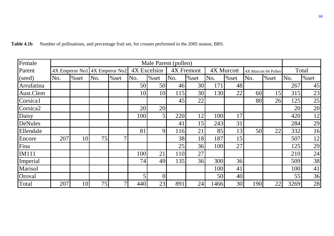| Female               |     |       |     |                               |              | Male Parent (pollen) |            |                 |            |       |     |                      |      |       |  |
|----------------------|-----|-------|-----|-------------------------------|--------------|----------------------|------------|-----------------|------------|-------|-----|----------------------|------|-------|--|
| Parent               |     |       |     | 4X Emperor No1 4X Emperor No2 | 4X Excelsior |                      | 4X Fremont |                 | 4X Murcott |       |     | 4X Murcott 04 Pollen |      | Total |  |
| (seed)               | No. | % set | No. | % set                         | No.          | % set                | No.        | % set           | No.        | % set | No. | % set                | No.  | % set |  |
| Arrufatina           |     |       |     |                               | 50           | 50                   | 46         | 30 <sup>l</sup> | 171        | 48    |     |                      | 267  | 45    |  |
| Aust.Clem            |     |       |     |                               | 10           | 10                   | 115        | 30 <sup>l</sup> | 130        | 22    | 60  | 15                   | 315  | 23    |  |
| Corsica1             |     |       |     |                               |              |                      | 45         | 22              |            |       | 80  | 26                   | 1251 | 25    |  |
| Corsica <sub>2</sub> |     |       |     |                               | 20           | 20                   |            |                 |            |       |     |                      | 20   | 20    |  |
| Daisy                |     |       |     |                               | 100          | $\overline{5}$       | 220        | 12              | 100        | 17    |     |                      | 420  | 12    |  |
| DeNules              |     |       |     |                               |              |                      | 41         | 15              | 243        | 31    |     |                      | 284  | 29    |  |
| Ellendale            |     |       |     |                               | 81           | 9                    | 116        | 21              | 85         | 13    | 50  | 22                   | 332  | 16    |  |
| Encore               | 207 | 10    | 75  | 7                             |              |                      | 38         | 18              | 187        | 15    |     |                      | 507  | 12    |  |
| Fina                 |     |       |     |                               |              |                      | 25         | 36              | 100        | 27    |     |                      | 125  | 29    |  |
| <b>IM111</b>         |     |       |     |                               | 100          | 21                   | 110        | 27              |            |       |     |                      | 210  | 24    |  |
| Imperial             |     |       |     |                               | 74           | 49                   | 135        | 36              | 300        | 36    |     |                      | 509  | 38    |  |
| Marisol              |     |       |     |                               |              |                      |            |                 | 100        | 41    |     |                      | 100  | 41    |  |
| Oroval               |     |       |     |                               | 5            | $\overline{0}$       |            |                 | 50         | 40    |     |                      | 55   | 36    |  |
| Total                | 207 | 10    | 75  | 7                             | 440          | 23                   | 891        | 24              | 1466       | 30    | 190 | 22                   | 3269 | 28    |  |

Table 4.1b Number of pollinations, and percentage fruit set, for crosses performed in the 2005 season, BRS.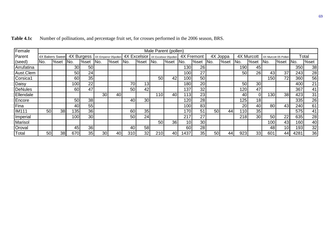| Female         |                 | Male Parent (pollen) |                  |                 |                                  |      |                 |                 |                                    |       |                 |      |                 |       |            |                 |                      |                 |       |      |
|----------------|-----------------|----------------------|------------------|-----------------|----------------------------------|------|-----------------|-----------------|------------------------------------|-------|-----------------|------|-----------------|-------|------------|-----------------|----------------------|-----------------|-------|------|
| Parent         | 4X Bakers Sweet |                      |                  |                 | 4X Burgess   4X Emperor 05pollen |      |                 |                 | 4X Excelsior 4X Excelsior 05pollen |       | 4X Fremont      |      | 4X Joppa        |       | 4X Murcott |                 | 4X Murcott 05 Pollen |                 | Total |      |
| (seed)         | No.             | %set                 | INo.             | %set            | IN <sub>o</sub>                  | %set | INo.            | %set            | INo.                               | l%set | INo.            | %set | No.             | l%set | INo.       | l%set           | INo.                 | %set            | INo.  | %set |
| Arrufatina     |                 |                      | 30 <sub>l</sub>  | 50              |                                  |      |                 |                 |                                    |       | 130             | 26   |                 |       | 190        | 45              |                      |                 | 350   | 38   |
| Aust.Clem      |                 |                      | 50               | 24              |                                  |      |                 |                 |                                    |       | 100             | 27   |                 |       | 50         | 26              | 43                   | 37              | 243   | 28   |
| Corsica1       |                 |                      | 60               | 35 <sub>1</sub> |                                  |      |                 |                 | 50 <sub>0</sub>                    | 42    | 100             | 50   |                 |       |            |                 | 150                  | 72              | 360   | 56   |
| Daisy          |                 |                      | 100 <sub>l</sub> | 22              |                                  |      | 70              | 13 <sub>l</sub> |                                    |       | 180             | 20   |                 |       | 50         | 30 <sub>l</sub> |                      |                 | 400   | 21   |
| <b>DeNules</b> |                 |                      | 60               | 47              |                                  |      | 50 <sub>0</sub> | 42              |                                    |       | 137             | 32   |                 |       | 120        | 47              |                      |                 | 367   | 41   |
| Ellendale      |                 |                      |                  |                 | 30 <sub>l</sub>                  | 40   |                 |                 | 110                                | 40    | 1131            | 23   |                 |       | 40         | $\overline{0}$  | 130                  | 38              | 423   | 31   |
| <b>IEncore</b> |                 |                      | 50               | 38              |                                  |      | 40              | 30 <sup>1</sup> |                                    |       | 120             | 28   |                 |       | 125        | 18              |                      |                 | 335   | 26   |
| Fina           |                 |                      | 40               | 55              |                                  |      |                 |                 |                                    |       | 100             | 83   |                 |       | 20         | 40              | 80                   | 43              | 240   | 61   |
| <b>IM111</b>   | 50              | 38                   | 1351             | 36 <sup>l</sup> |                                  |      | 60              | 35              |                                    |       | 170             | 51   | 50 <sub>1</sub> | 44    | <b>110</b> | 35              |                      |                 | 575   | 41   |
| Imperial       |                 |                      | 100 <sub>l</sub> | 30 <sup>l</sup> |                                  |      | 50              | 24              |                                    |       | 217             | 27   |                 |       | 218        | 30 <sup>1</sup> | 50                   | 22              | 635   | 28   |
| Marisol        |                 |                      |                  |                 |                                  |      |                 |                 | 50                                 | 36    | 10 <sub>1</sub> | 30   |                 |       |            |                 | 100                  | 43              | 160   | 40   |
| <b>Oroval</b>  |                 |                      | 45               | 36 <sup>l</sup> |                                  |      | 40              | 58              |                                    |       | 60              | 28   |                 |       |            |                 | 48                   | 10 <sup>1</sup> | 193   | 32   |
| Total          | 50              | 38                   | 670              | 35 <sub>l</sub> | 30 <sub>l</sub>                  | 40   | 310             | 32              | 210                                | 40    | 1437            | 35   | 50              | 44    | 923        | 33              | 601                  | 44              | 4281  | 36   |

**Table 4.1c** Number of pollinations, and percentage fruit set, for crosses performed in the 2006 season, BRS.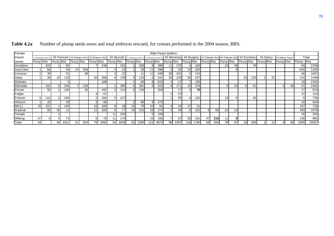| Female         |                      | Male Parent (pollen) |                 |                                          |                  |                  |                 |      |                  |                  |                 |                                                 |                 |      |                 |                 |                 |           |                  |     |                 |                                                       |                  |                 |           |          |           |                 |                 |       |  |
|----------------|----------------------|----------------------|-----------------|------------------------------------------|------------------|------------------|-----------------|------|------------------|------------------|-----------------|-------------------------------------------------|-----------------|------|-----------------|-----------------|-----------------|-----------|------------------|-----|-----------------|-------------------------------------------------------|------------------|-----------------|-----------|----------|-----------|-----------------|-----------------|-------|--|
| Parent         | 4X WilkinoxMurcott4X |                      |                 | 4X Fremont 4X Emperor No1 4X Emperor No2 |                  |                  |                 |      |                  | 4X Murcott       |                 | 4X WilkingxMurcott4X 95 4X WilkingxMurcott4X 96 |                 |      |                 | 4X Minneola     |                 |           |                  |     |                 | 4X Burgess 4X Orlando No1 4X Orlando No2 4X Excelsion |                  |                 |           | 4X Dancy |           | 4X Bakers Sweet |                 | Total |  |
| (seed)         | Plump Res            |                      | Plump Res       |                                          | <b>Plump</b> Res |                  | Plump Res       |      | <b>Plump</b> Res |                  | Plump Res       |                                                 | Plump Res       |      | Plump Res       |                 | Plump Res       |           | <b>Plump</b> Res |     | Plump Res       |                                                       | <b>Plump</b> Res |                 | Plump Res |          | Plump Res |                 | Plump Res       |       |  |
| Arrufatina     |                      | 323                  |                 | 92                                       |                  |                  |                 | 439  |                  | 291              |                 | 308                                             | 81              | 399  | 11              | 37 <sub>0</sub> |                 | 430       |                  |     | 23              | 39                                                    |                  | <b>78</b>       |           |          |           |                 | 83              | 2769  |  |
| Aust.Clem      |                      | 66                   |                 | 34                                       |                  | 359              |                 |      |                  | 43               |                 | 28                                              |                 | 398  | :               | 25              | 15 <sup>1</sup> | 232       |                  |     |                 | o                                                     |                  |                 |           |          |           |                 | 645             | 1193  |  |
| Corsica1       |                      | 39                   |                 | 31                                       |                  | 39               |                 |      |                  | 22               |                 |                                                 |                 | 449  | 28              | 34 <sup>′</sup> | 31              | 115       |                  |     |                 |                                                       |                  |                 |           |          |           |                 | 46              | 1047  |  |
| Daisy          |                      | 38                   | 10 <sup>1</sup> | 118                                      |                  |                  | <b>20</b>       | 268  |                  | 139 I            | 51              | 118                                             |                 | 181  | 30 <sup>l</sup> | 229             | 30 <sup>°</sup> | 207       |                  |     |                 |                                                       | 16               | 130 I           |           | 21       |           |                 | 124.            | 1449  |  |
| <b>DeNules</b> |                      |                      |                 | $3 \mid$                                 |                  |                  |                 | 189  |                  |                  |                 | 83                                              |                 | 810  |                 |                 |                 | 230       |                  |     |                 |                                                       |                  |                 |           |          |           |                 | 18              | 1332  |  |
| Ellendale      |                      | 191                  |                 | 246                                      |                  | 126 <sub>1</sub> |                 |      |                  | 365              | 61              | 29'                                             |                 | 522  |                 | 17 <sup>4</sup> | 10 <sup>1</sup> | 379       |                  |     |                 | 23                                                    |                  | 51              |           |          |           | 40              | 57              | 2405  |  |
| Encore         |                      | 55                   |                 | <b>140</b>                               |                  | 161              |                 | 181  |                  | 114              | 6               | 116.                                            |                 | 204  |                 |                 |                 | <b>70</b> |                  |     |                 |                                                       |                  |                 |           |          |           |                 | 17              | 913   |  |
| Fallglo        |                      |                      |                 |                                          |                  |                  |                 | 67   |                  |                  |                 |                                                 |                 |      |                 | 57'             |                 |           |                  |     |                 |                                                       |                  |                 |           |          |           |                 | 27              | 124   |  |
| Fortune        | :                    |                      |                 | 100                                      |                  |                  |                 | 184  |                  | 127              |                 |                                                 |                 |      |                 | 55              |                 | 152       |                  |     | 13 <sub>l</sub> |                                                       |                  | 25 <sub>1</sub> |           |          |           |                 |                 | 735   |  |
| Hickson        |                      | 26                   |                 | 28                                       |                  |                  |                 | 88   |                  |                  | $\mathcal{P}$   | 58                                              |                 | 279  |                 |                 |                 |           |                  |     |                 |                                                       |                  |                 |           |          |           |                 | 16 <sub>l</sub> | 504   |  |
| <b>IM111</b>   | 33                   | 22'                  |                 | 145                                      |                  |                  | 16 <sup>1</sup> | 108  |                  | 48               | 10 <sup>1</sup> | 78 <sup>l</sup>                                 | 10 <sup>1</sup> | 64   |                 | 24              | 17              | 31        |                  |     |                 |                                                       |                  |                 |           |          |           |                 | 147             | 719   |  |
| Imperial       |                      | 50                   | 16 <sup>l</sup> | 11                                       |                  |                  | 21              | 183  |                  | 77               | 18              | 215                                             | 33 <sub>l</sub> | 274  |                 | 34              | 61              | 152       |                  | 69  | 22              | 13                                                    |                  |                 |           |          |           |                 | 493             | 1078  |  |
| Temple         |                      |                      |                 |                                          |                  |                  |                 |      |                  | 245              |                 |                                                 |                 | 109  |                 |                 |                 |           |                  |     |                 |                                                       |                  |                 |           |          |           |                 | 16              | 354   |  |
| Wilking        | 47                   |                      |                 | 731                                      |                  |                  | 6               | 75   |                  | 174 <sub>1</sub> |                 |                                                 | 15 <sub>h</sub> | 185  |                 | 67              | 35 <sub>1</sub> | 161       | 47               | 215 | 11              | 9                                                     |                  |                 |           |          |           |                 | 136             | 965   |  |
| Total          | 44                   |                      | 40              | 1021                                     | 2 <sup>1</sup>   | 524              | 791             | 1593 | 54               | 645              | 51              | 1306                                            | 121             | 3874 | 96              | 1407            | 134 I           | 1780      | 53               | 284 | 78I             | 97                                                    |                  | 284             |           | 2        |           | 401             | 1830            | 15587 |  |

Table 4.2a Number of plump seeds sown and total embryos rescued, for crosses performed in the 2004 season, BRS.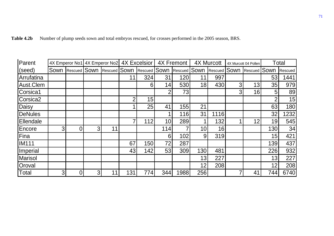| Parent               |                |                                | <b>4X Excelsior</b><br>4X Fremont<br><b>4X Murcott</b><br>4X Emperor No1 4X Emperor No2 |    |     | 4X Murcott 04 Pollen |                 | <b>Total</b> |                 |                     |   |                     |     |         |
|----------------------|----------------|--------------------------------|-----------------------------------------------------------------------------------------|----|-----|----------------------|-----------------|--------------|-----------------|---------------------|---|---------------------|-----|---------|
| (seed)               |                | Sown Rescued Sown Rescued Sown |                                                                                         |    |     | <b>Rescued SOWN</b>  |                 | Rescued      | Sown            | <b>Rescued SOWN</b> |   | <b>Rescued SOWN</b> |     | Rescued |
| Arrufatina           |                |                                |                                                                                         |    | 11  | 324                  | 31              | 120          | 11              | 997                 |   |                     | 53  | 441     |
| Aust.Clem            |                |                                |                                                                                         |    |     | 61                   | 14              | 530          | 18              | 430                 | 3 | 13                  | 35  | 979     |
| Corsica1             |                |                                |                                                                                         |    |     |                      | $\overline{2}$  | 73           |                 |                     | 3 | 16                  | 5   | 89      |
| Corsica <sub>2</sub> |                |                                |                                                                                         |    | າ   | 15                   |                 |              |                 |                     |   |                     |     | 15      |
| Daisy                |                |                                |                                                                                         |    |     | 25                   | 41              | 155          | 21              |                     |   |                     | 63  | 180     |
| <b>DeNules</b>       |                |                                |                                                                                         |    |     |                      |                 | 116          | 31              | 1116                |   |                     | 32  | 1232    |
| Ellendale            |                |                                |                                                                                         |    |     | 112                  | 10 <sup>1</sup> | 289          |                 | 132                 |   | 12                  | 19  | 545     |
| Encore               | 3              | 0                              | 3                                                                                       | 11 |     |                      | 114             | 7            | 10 <sup>1</sup> | 16                  |   |                     | 130 | 34      |
| Fina                 |                |                                |                                                                                         |    |     |                      | $6 \mid$        | 102          | 9               | 319                 |   |                     | 15  | 421     |
| <b>IM111</b>         |                |                                |                                                                                         |    | 67  | 150                  | 72              | 287          |                 |                     |   |                     | 139 | 437     |
| Imperial             |                |                                |                                                                                         |    | 43  | 142                  | 53              | 309          | 130             | 481                 |   |                     | 226 | 932     |
| <b>Marisol</b>       |                |                                |                                                                                         |    |     |                      |                 |              | 13              | 227                 |   |                     | 13  | 227     |
| Oroval               |                |                                |                                                                                         |    |     |                      |                 |              | 12              | 208                 |   |                     | 12  | 208     |
| Total                | 3 <sub>l</sub> | 0                              | 3 <sub>l</sub>                                                                          | 11 | 131 | 774                  | 344             | 1988         | 256             |                     |   | 41                  | 744 | 6740    |

| <b>Table 4.2b</b> | Number of plump seeds sown and total embryos rescued, for crosses performed in the 2005 season, BRS. |  |  |  |
|-------------------|------------------------------------------------------------------------------------------------------|--|--|--|
|-------------------|------------------------------------------------------------------------------------------------------|--|--|--|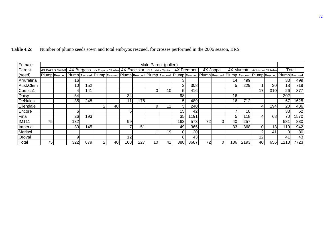| Female       | Male Parent (pollen) |                                                                                                                                                                         |                 |     |   |    |     |     |                 |                                                                         |                 |            |    |          |                 |                 |          |                      |       |       |  |
|--------------|----------------------|-------------------------------------------------------------------------------------------------------------------------------------------------------------------------|-----------------|-----|---|----|-----|-----|-----------------|-------------------------------------------------------------------------|-----------------|------------|----|----------|-----------------|-----------------|----------|----------------------|-------|-------|--|
| Parent       |                      | 4X Bakers Sweet                                                                                                                                                         |                 |     |   |    |     |     |                 | 4X Burgess   4X Emperor 05pollen   4X Excelsior   4X Excelsior 05pollen |                 | 4X Fremont |    | 4X Joppa |                 | 4X Murcott      |          | 4X Murcott 05 Pollen |       | Total |  |
| (seed)       |                      | Plump Rescued Plump Rescued Plump Rescued Plump Rescued Plump Rescued Plump Rescued Plump Rescued Plump Rescued Plump Rescued Plump Rescued Plump Rescued Plump Rescued |                 |     |   |    |     |     |                 |                                                                         |                 |            |    |          |                 |                 |          |                      |       |       |  |
| Arrufatina   |                      |                                                                                                                                                                         | 161             |     |   |    |     |     |                 |                                                                         |                 |            |    |          | 14 <sub>l</sub> | 499             |          |                      | 33    | 499   |  |
| Aust.Clem    |                      |                                                                                                                                                                         | 10 <sup>1</sup> | 152 |   |    |     |     |                 |                                                                         | $\overline{2}$  | 308        |    |          | 51              | 229             |          | 30 <sub>0</sub>      | 18    | 719   |  |
| Corsica1     |                      |                                                                                                                                                                         |                 | 141 |   |    |     |     |                 | 10 <sub>l</sub>                                                         | 5 <sup>1</sup>  | 416        |    |          |                 |                 | 17       | 310                  | 26    | 877   |  |
| Daisy        |                      |                                                                                                                                                                         | 54              |     |   |    | 34  |     |                 |                                                                         | 98              |            |    |          | 16              |                 |          |                      | 202   |       |  |
| DeNules      |                      |                                                                                                                                                                         | 35              | 248 |   |    | 11  | 176 |                 |                                                                         | 5 <sub>l</sub>  | 489        |    |          | 16 <sup>1</sup> | 712             |          |                      | 67    | 1625  |  |
| Ellendale    |                      |                                                                                                                                                                         |                 |     | 2 | 40 |     |     | 9               | 12                                                                      | 5 <sup>1</sup>  | 240        |    |          |                 |                 |          | 194                  | 20    | 486   |  |
| Encore       |                      |                                                                                                                                                                         | h               |     |   |    | 5   |     |                 |                                                                         | 15 <sub>1</sub> | 42         |    |          |                 | 10 <sup>1</sup> |          |                      | 33    | 52    |  |
| Fina         |                      |                                                                                                                                                                         | 26              | 193 |   |    |     |     |                 |                                                                         | 35              | 191        |    |          | 5 <sup>1</sup>  | 118             |          | 68                   | 70    | 1570  |  |
| <b>IM111</b> | 75                   |                                                                                                                                                                         | 132             |     |   |    | 99  |     |                 |                                                                         | 163             | 573        | 72 |          | 40              | 257             |          |                      | 581   | 830   |  |
| Imperial     |                      |                                                                                                                                                                         | 30 <sup>1</sup> | 145 |   |    |     | 51  |                 |                                                                         | 49              | 365        |    |          | 33              | 368             | $\Omega$ | 13 <sub>1</sub>      | 119   | 942   |  |
| Marisol      |                      |                                                                                                                                                                         |                 |     |   |    |     |     |                 | 19                                                                      |                 | 20         |    |          |                 |                 |          | 41                   | 3     | 80    |  |
| Oroval       |                      |                                                                                                                                                                         | 9               |     |   |    | 12  |     |                 |                                                                         | 8l              | 43         |    |          |                 |                 | 12       |                      | 41    | 43    |  |
| Total        | 75 <sub>1</sub>      |                                                                                                                                                                         | 322             | 879 |   | 40 | 168 | 227 | 10 <sub>1</sub> | 41                                                                      | <b>388</b>      | 3687       | 72 |          | 1361            | 2193            | 40       | 656                  | 12131 | 7723  |  |

**Table 4.2c** Number of plump seeds sown and total embryos rescued, for crosses performed in the 2006 season, BRS.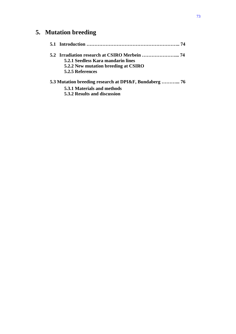# **5. Mutation breeding**

| 5.2.1 Seedless Kara mandarin lines   |
|--------------------------------------|
| 5.2.2 New mutation breeding at CSIRO |
| 5.2.5 References                     |
|                                      |

## **5.3 Mutation breeding research at DPI&F, Bundaberg ………... 76**

 **5.3.1 Materials and methods** 

 **5.3.2 Results and discussion**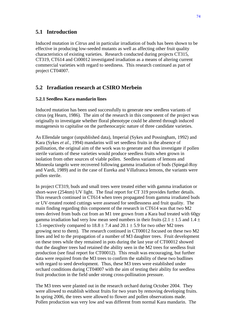## **5.1 Introduction**

Induced mutation in *Citrus* and in particular irradiation of buds has been shown to be effective in producing low-seeded mutants as well as affecting other fruit quality characteristics of existing varieties. Research conducted during projects CT315, CT319, CT614 and Ct00012 investigated irradiation as a means of altering current commercial varieties with regard to seediness. This research continued as part of project CT04007.

## **5.2 Irradiation research at CSIRO Merbein**

#### **5.2.1 Seedless Kara mandarin lines**

Induced mutation has been used successfully to generate new seedless variants of citrus (eg Hearn, 1986). The aim of the research in this component of the project was originally to investigate whether floral phenotype could be altered through induced mutagenesis to capitalise on the parthenocarpic nature of three candidate varieties.

As Ellendale tangor (unpublished data), Imperial (Sykes and Possingham, 1992) and Kara (Sykes *et al.*, 1994) mandarins will set seedless fruits in the absence of pollination, the original aim of the work was to generate and thus investigate if pollen sterile variants of these varieties would produce seedless fruits when grown in isolation from other sources of viable pollen. Seedless variants of lemons and Minneola tangelo were recovered following gamma irradiation of buds (Spiegal-Roy and Vardi, 1989) and in the case of Eureka and Villafranca lemons, the variants were pollen sterile.

In project CT319, buds and small trees were treated either with gamma irradiation or short-wave (254nm) UV light. The final report for CT 319 provides further details. This research continued in CT614 when trees propagated from gamma irradiated buds or UV-treated rooted cuttings were assessed for seedlessness and fruit quality. The main finding regarding this component of the research in CT614 was that two M2 trees derived from buds cut from an M1 tree grown from a Kara bud treated with 60gy gamma irradiation had very low mean seed numbers in their fruits (2.1  $\pm$  1.5 and 1.4  $\pm$ 1.5 respectively compared to  $18.8 \pm 7.4$  and  $20.1 \pm 5.9$  for two other M2 trees growing next to them). The research continued in CT00012 focused on these two M2 lines and led to the propagation of a number of M3 daughter trees. Fruit development on these trees while they remained in pots during the last year of CT00012 showed that the daughter trees had retained the ability seen in the M2 trees for seedless fruit production (see final report for CT00012). This result was encouraging, but further data were required from the M3 trees to confirm the stability of these two budlines with regard to seed development. Thus, these M3 trees were established under orchard conditions during CT04007 with the aim of testing their ability for seedless fruit production in the field under strong cross-pollination pressure.

The M3 trees were planted out in the research orchard during October 2004. They were allowed to establish without fruits for two years by removing developing fruits. In spring 2006, the trees were allowed to flower and pollen observations made. Pollen production was very low and was different from normal Kara mandarin. The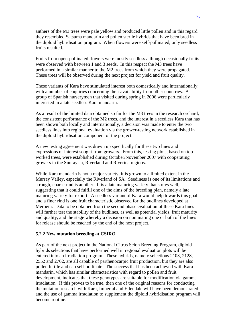anthers of the M3 trees were pale yellow and produced little pollen and in this regard they resembled Satsuma mandarin and pollen sterile hybrids that have been bred in the diploid hybridisation program. When flowers were self-pollinated, only seedless fruits resulted.

Fruits from open-pollinated flowers were mostly seedless although occasionally fruits were observed with between 1 and 3 seeds. In this respect the M3 trees have performed in a similar manner to the M2 trees from which they were propagated. These trees will be observed during the next project for yield and fruit quality.

These variants of Kara have stimulated interest both domestically and internationally, with a number of enquiries concerning their availability from other countries. A group of Spanish nurserymen that visited during spring in 2006 were particularly interested in a late seedless Kara mandarin.

As a result of the limited data obtained so far for the M3 trees in the research orchard, the consistent performance of the M2 trees, and the interest in a seedless Kara that has been shown both locally and internationally, a decision was made to enter the two seedless lines into regional evaluation via the grower-testing network established in the diploid hybridisation component of the project.

A new testing agreement was drawn up specifically for these two lines and expressions of interest sought from growers. From this, testing plots, based on topworked trees, were established during October/November 2007 with cooperating growers in the Sunraysia, Riverland and Riverina regions.

While Kara mandarin is not a major variety, it is grown to a limited extent in the Murray Valley, especially the Riverland of SA. Seediness is one of its limitations and a rough, coarse rind is another. It is a late maturing variety that stores well, suggesting that it could fulfill one of the aims of the breeding plan, namely a late maturing variety for export. A seedless variant of Kara would help towards this goal and a finer rind is one fruit characteristic observed for the budlines developed at Merbein. Data to be obtained from the second phase evaluation of these Kara lines will further test the stability of the budlines, as well as potential yields, fruit maturity and quality, and the stage whereby a decision on nominating one or both of the lines for release should be reached by the end of the next project.

#### **5.2.2 New mutation breeding at CSIRO**

As part of the next project in the National Citrus Scion Breeding Program, diploid hybrids selections that have performed well in regional evaluation plots will be entered into an irradiation program. These hybrids, namely selections 2103, 2128, 2552 and 2762, are all capable of parthenocarpic fruit production, but they are also pollen fertile and can self-pollinate. The success that has been achieved with Kara mandarin, which has similar characteristics with regard to pollen and fruit development, indicates that these genotypes are suitable for modification via gamma irradiation. If this proves to be true, then one of the original reasons for conducting the mutation research with Kara, Imperial and Ellendale will have been demonstrated and the use of gamma irradiation to supplement the diploid hybridisation program will become routine.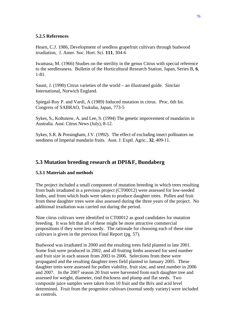#### **5.2.5 References**

Hearn, C.J. 1986, Development of seedless grapefruit cultivars through budwood irradiation, J. Amer. Soc. Hort. Sci. **111**, 304-6

Iwamasa, M. (1966) Studies on the sterility in the genus Citrus with special reference to the seedlessness. Bulletin of the Horticultural Research Station, Japan, Series B, **6**, 1-81.

Saunt, J. (1990) Citrus varieties of the world – an illustrated guide. Sinclair International, Norwich England.

Spiegal-Roy P. and Vardi, A (1989) Induced mutation in citrus. Proc. 6th Int. Congress of SABRAO, Tsukuba, Japan, 773-5

Sykes, S., Koltunow, A. and Lee, S. (1994) The genetic improvement of mandarins in Australia. Aust. Citrus News (July), 8-12.

Sykes, S.R. & Possingham, J.V. (1992). The effect of excluding insect pollinators on seediness of Imperial mandarin fruits. Aust. J. Exptl. Agric*.*, **32**, 409-11.

## **5.3 Mutation breeding research at DPI&F, Bundaberg**

#### **5.3.1 Materials and methods**

The project included a small component of mutation breeding in which trees resulting from buds irradiated in a previous project (CT00012) were assessed for low-seeded limbs, and from which buds were taken to produce daughter trees. Pollen and fruit from these daughter trees were also assessed during the three years of the project. No additional irradiation was carried out during the period.

Nine citrus cultivars were identified in CT00012 as good candidates for mutation breeding. It was felt that all of these might be more attractive commercial propositions if they were less seedy. The rationale for choosing each of these nine cultivars is given in the previous Final Report (pg. 57).

Budwood was irradiated in 2000 and the resulting trees field planted in late 2001. Some fruit were produced in 2002, and all fruiting limbs assessed for seed number and fruit size in each season from 2003 to 2006. Selections from these were propagated and the resulting daughter trees field planted in January 2005. These daughter trees were assessed for pollen viability, fruit size, and seed number in 2006 and 2007. In the 2007 season 20 fruit were harvested from each daughter tree and assessed for weight, diameter, rind thickness and plump and flat seeds. Two composite juice samples were taken from 10 fruit and the Brix and acid level determined. Fruit from the progenitor cultivars (normal seedy variety) were included as controls.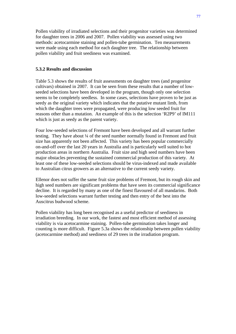Pollen viability of irradiated selections and their progenitor varieties was determined for daughter trees in 2006 and 2007. Pollen viability was assessed using two methods: acetocarmine staining and pollen-tube germination. Ten measurements were made using each method for each daughter tree. The relationship between pollen viability and fruit seediness was examined.

#### **5.3.2 Results and discussion**

Table 5.3 shows the results of fruit assessments on daughter trees (and progenitor cultivars) obtained in 2007. It can be seen from these results that a number of lowseeded selections have been developed in the program, though only one selection seems to be completely seedless. In some cases, selections have proven to be just as seedy as the original variety which indicates that the putative mutant limb, from which the daughter trees were propagated, were producing low seeded fruit for reasons other than a mutation. An example of this is the selection 'R2P9' of IM111 which is just as seedy as the parent variety.

Four low-seeded selections of Fremont have been developed and all warrant further testing. They have about ¼ of the seed number normally found in Fremont and fruit size has apparently not been affected. This variety has been popular commercially on-and-off over the last 20 years in Australia and is particularly well suited to hot production areas in northern Australia. Fruit size and high seed numbers have been major obstacles preventing the sustained commercial production of this variety. At least one of these low-seeded selections should be virus-indexed and made available to Australian citrus growers as an alternative to the current seedy variety.

Ellenor does not suffer the same fruit size problems of Fremont, but its rough skin and high seed numbers are significant problems that have seen its commercial significance decline. It is regarded by many as one of the finest flavoured of all mandarins. Both low-seeded selections warrant further testing and then entry of the best into the Auscitrus budwood scheme.

Pollen viability has long been recognised as a useful predictor of seediness in irradiation breeding. In our work, the fastest and most efficient method of assessing viability is via acetocarmine staining. Pollen-tube germination takes longer and counting is more difficult. Figure 5.3a shows the relationship between pollen viability (acetocarmine method) and seediness of 29 trees in the irradiation program.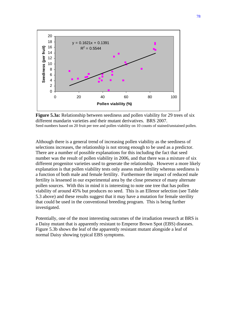

**Figure 5.3a:** Relationship between seediness and pollen viability for 29 trees of six different mandarin varieties and their mutant derivatives. BRS 2007. Seed numbers based on 20 fruit per tree and pollen viability on 10 counts of stained/unstained pollen.

Although there is a general trend of increasing pollen viability as the seediness of selections increases, the relationship is not strong enough to be used as a predictor. There are a number of possible explanations for this including the fact that seed number was the result of pollen viability in 2006, and that there was a mixture of six different progenitor varieties used to generate the relationship. However a more likely explanation is that pollen viability tests only assess male fertility whereas seediness is a function of both male and female fertility. Furthermore the impact of reduced male fertility is lessened in our experimental area by the close presence of many alternate pollen sources. With this in mind it is interesting to note one tree that has pollen viability of around 45% but produces no seed. This is an Ellenor selection (see Table 5.3 above) and these results suggest that it may have a mutation for female sterility that could be used in the conventional breeding program. This is being further investigated.

Potentially, one of the most interesting outcomes of the irradiation research at BRS is a Daisy mutant that is apparently resistant to Emperor Brown Spot (EBS) diseases. Figure 5.3b shows the leaf of the apparently resistant mutant alongside a leaf of normal Daisy showing typical EBS symptoms.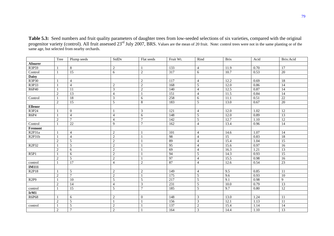**Table 5.3:** Seed numbers and fruit quality parameters of daughter trees from low-seeded selections of six varieties, compared with the original progenitor variety (control). All fruit assessed 23<sup>rd</sup> July 2007, BRS. Values are the mean of 20 fruit. Note: control trees were not in the same planting or of the same age, but selected from nearby orchards.

|                                 | Tree           | Plump seeds      | StdDv                   | Flat seeds     | Fruit Wt.        | Rind           | <b>Brix</b>     | Acid | Brix:Acid       |
|---------------------------------|----------------|------------------|-------------------------|----------------|------------------|----------------|-----------------|------|-----------------|
| Afourer                         |                |                  |                         |                |                  |                |                 |      |                 |
| R3P59                           |                | $8\,$            | $\overline{c}$          |                | 133              | 4              | 11.9            | 0.70 | 17              |
| Control                         |                | 15               | 6                       | $\overline{2}$ | 317              | 6              | 10.7            | 0.53 | 20              |
| <b>Daisy</b>                    |                |                  |                         |                |                  |                |                 |      |                 |
| R3P30                           |                | $\overline{4}$   |                         | $\overline{2}$ | $\overline{117}$ | $\overline{4}$ | 12.2            | 0.69 | $\overline{18}$ |
| R3P33                           |                | $\overline{4}$   | $\sqrt{2}$              | $\sqrt{2}$     | 168              | 5              | 12.0            | 0.86 | 14              |
| R6P40                           |                | $\overline{11}$  | $\overline{\mathbf{3}}$ | $\overline{2}$ | 140              | $\overline{4}$ | 12.5            | 0.87 | 14              |
|                                 | 2              | $\overline{13}$  | $\overline{4}$          |                | 151              | $\overline{4}$ | 11.5            | 0.84 | $\overline{14}$ |
| Control                         |                | 18               | 3                       | 6              | 258              | 6              | 11.1            | 0.51 | $22\,$          |
|                                 | $\overline{2}$ | $\overline{15}$  | $\overline{5}$          | $\,8\,$        | 183              | $\overline{5}$ | 13.0            | 0.67 | 20              |
| <b>Ellenor</b>                  |                |                  |                         |                |                  |                |                 |      |                 |
| R3P24                           |                | $\boldsymbol{0}$ |                         | 3              | 121              | $\overline{4}$ | 12.0            | 1.02 | $\overline{12}$ |
| R6P4                            |                | $\overline{4}$   | $\overline{4}$          | 6              | 148              | $\mathfrak{S}$ | 12.0            | 0.89 | 13              |
|                                 | $\overline{2}$ | $\tau$           | $\overline{4}$          | $\overline{7}$ | 142              | $\mathfrak{S}$ | 12.7            | 1.10 | 12              |
| Control                         |                | 22               | 9                       | $\overline{7}$ | 162              | $\overline{4}$ | 13.4            | 0.96 | 14              |
| Fremont                         |                |                  |                         |                |                  |                |                 |      |                 |
| R <sub>2</sub> P <sub>31a</sub> |                | $\overline{4}$   | $\overline{c}$          |                | 101              | $\overline{4}$ | 14.6            | 1.07 | 14              |
| R2P31b                          |                | $\overline{4}$   | $\mathbf{2}$            |                | 98               | $\overline{A}$ | $\overline{15}$ | 0.83 | 18              |
|                                 | 2              | 5                | $\mathbf{2}$            |                | 89               | $\overline{4}$ | 15.4            | 1.04 | $\overline{15}$ |
| R2P32                           |                | 5                | $\mathbf{2}$            |                | 95               | $\overline{4}$ | 15.6            | 0.97 | 16              |
|                                 | $\sqrt{2}$     | $\sqrt{6}$       | $\sqrt{2}$              |                | 69               | $\overline{4}$ | 16.3            | 1.21 | 13              |
| R5P1                            |                | $\overline{6}$   | $\overline{2}$          |                | 94               | 5              | 14.3            | 0.93 | $\overline{15}$ |
|                                 | 2              | $\overline{5}$   | $\overline{2}$          |                | 97               | $\overline{4}$ | 15.5            | 0.98 | 16              |
| control                         |                | 17               | 4                       | $\sqrt{2}$     | 87               | $\overline{4}$ | 12.6            | 0.54 | 23              |
| <b>IM111</b>                    |                |                  |                         |                |                  |                |                 |      |                 |
| R2P18                           | $\overline{1}$ | 5                | $\overline{c}$          | $\sqrt{2}$     | 149              | $\overline{4}$ | 9.5             | 0.85 | 11              |
|                                 | $\sqrt{2}$     | $\tau$           | $\sqrt{2}$              |                | 175              | $\sqrt{5}$     | 9.6             | 0.93 | 10              |
| R <sub>2P9</sub>                |                | $\overline{10}$  | $\sqrt{5}$              | $\sqrt{5}$     | 217              | $\mathfrak{S}$ | 9.1             | 0.98 | $\overline{9}$  |
|                                 | $\overline{2}$ | 14               | $\overline{4}$          | $\mathfrak{Z}$ | 231              | 5              | $10.0\,$        | 0.79 | 13              |
| control                         |                | $\overline{15}$  | 5                       | $\overline{7}$ | 185              | $\overline{5}$ | 9.7             | 0.80 | 12              |
| IrM1                            |                |                  |                         |                |                  |                |                 |      |                 |
| R6P68                           |                | 6                | $\sqrt{2}$              | $\overline{0}$ | 148              | 3              | 13.0            | 1.24 | 11              |
|                                 | 2              | $\overline{5}$   |                         |                | 156              | $\overline{3}$ | 12.1            | 1.13 | 11              |
| control                         |                | $\sqrt{5}$       | $\overline{c}$          |                | 137              | $\overline{c}$ | 15.4            | 1.14 | 14              |
|                                 | $\sqrt{2}$     | $\tau$           | $\sqrt{2}$              |                | 164              | $\overline{3}$ | 14.4            | 1.10 | 13              |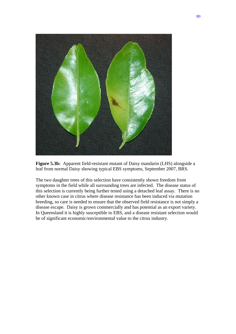

**Figure 5.3b:** Apparent field-resistant mutant of Daisy mandarin (LHS) alongside a leaf from normal Daisy showing typical EBS symptoms, September 2007, BRS.

The two daughter trees of this selection have consistently shown freedom from symptoms in the field while all surrounding trees are infected. The disease status of this selection is currently being further tested using a detached leaf assay. There is no other known case in citrus where disease resistance has been induced via mutation breeding, so care is needed to ensure that the observed field resistance is not simply a disease escape. Daisy is grown commercially and has potential as an export variety. In Queensland it is highly susceptible to EBS, and a disease resistant selection would be of significant economic/environmental value to the citrus industry.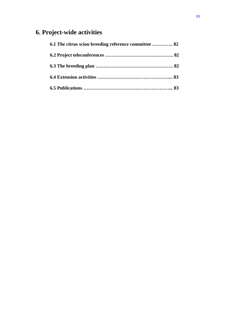# **6. Project-wide activities**

| 6.1 The citrus scion breeding reference committee  82 |  |
|-------------------------------------------------------|--|
|                                                       |  |
|                                                       |  |
|                                                       |  |
|                                                       |  |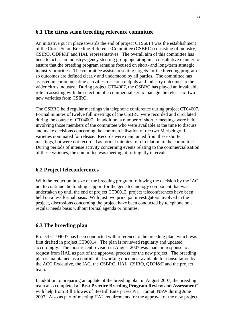## **6.1 The citrus scion breeding reference committee**

An initiative put in place towards the end of project CT96014 was the establishment of the Citrus Scion Breeding Reference Committee (CSBRC) consisting of industry, CSIRO, QDPI&F and HAL representatives. The overall aim of this committee has been to act as an industry/agency steering group operating in a consultative manner to ensure that the breeding program remains focused on short- and long-term strategic industry priorities. The committee assists in setting targets for the breeding program so outcomes are defined clearly and understood by all parties. The committee has assisted in communicating activities, research outputs and industry outcomes to the wider citrus industry. During project CT04007, the CSBRC has played an invaluable role in assisting with the selection of a commercialiser to manage the release of two new varieties from CSIRO.

The CSBRC held regular meetings via telephone conference during project CT04007. Formal minutes of twelve full meetings of the CSBRC were recorded and circulated during the course of CT04007. In addition, a number of shorter meetings were held involving those members of the committee who were available at the time to discuss and make decisions concerning the commercialisation of the two Merbeingold varieties nominated for release. Records were maintained from these shorter meetings, but were not recorded as formal minutes for circulation to the committee. During periods of intense activity concerning events relating to the commercialisation of these varieties, the committee was meeting at fortnightly intervals.

## **6.2 Project teleconferences**

With the reduction in size of the breeding program following the decision by the IAC not to continue the funding support for the gene technology component that was undertaken up until the end of project CT00012, project teleconferences have been held on a less formal basis. With just two principal investigators involved in the project, discussions concerning the project have been conducted by telephone on a regular needs basis without formal agenda or minutes.

## **6.3 The breeding plan**

Project CT04007 has been conducted with reference to the breeding plan, which was first drafted in project CT96014. The plan is reviewed regularly and updated accordingly. The most recent revision in August 2007 was made in response to a request from HAL as part of the approval process for the new project. The breeding plan is maintained as a confidential working document available for consultation by the ACG Executive, the IAC, the CSBRC, HAL, CSIRO, QDPI&F and the project team.

In addition to preparing an update of the breeding plan in August 2007, the breeding team also completed a "**Best Practice Breeding Program Review** a**nd Assessment**" with help from Bill Blowes of BeeBill Enterprises P/L, Tumut, NSW during June 2007. Also as part of meeting HAL requirements for the approval of the new project,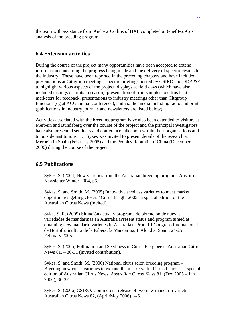the team with assistance from Andrew Collins of HAL completed a Benefit-to-Cost analysis of the breeding program.

#### **6.4 Extension activities**

During the course of the project many opportunities have been accepted to extend information concerning the progress being made and the delivery of specific results to the industry. These have been reported in the preceding chapters and have included presentations at Cittgroup meetings, specific briefings hosted by CSIRO and QDPI&F to highlight various aspects of the project, displays at field days (which have also included tastings of fruits in season), presentation of fruit samples to citrus fruit marketers for feedback, presentations to industry meetings other than Cittgroup functions (eg at ACG annual conference), and via the media including radio and print (publications in industry journals and newsletters are listed below).

Activities associated with the breeding program have also been extended to visitors at Merbein and Bundaberg over the course of the project and the principal investigators have also presented seminars and conference talks both within their organisations and to outside institutions. Dr Sykes was invited to present details of the research at Merbein in Spain (February 2005) and the Peoples Republic of China (December 2006) during the course of the project.

#### **6.5 Publications**

Sykes, S. (2004) New varieties from the Australian breeding program. Auscitrus Newsletter Winter 2004, p5.

Sykes, S. and Smith, M. (2005) Innovative seedless varieties to meet market opportunities getting closer. "Citrus Insight 2005" a special edition of the Australian Citrus News (invited).

Sykes S. R. (2005) Situación actual y programa de obtención de nuevas variedades de mandarinas en Australia (Present status and program aimed at obtaining new mandarin varieties in Australia). Proc. III Congreso Internacional de Hortofruticultura de la Ribera: la Mandarina, L'Alcudia, Spain, 24-25 February 2005.

Sykes, S. (2005) Pollination and Seediness in Citrus Easy-peels. Australian Citrus News 81, – 30-31 (invited contribution).

Sykes, S. and Smith, M. (2006) National citrus scion breeding program – Breeding new citrus varieties to expand the markets. In: Citrus Insight – a special edition of Australian Citrus News. *Australian Citrus News* 81, (Dec 2005 – Jan 2006), 36-37.

Sykes, S. (2006) CSIRO: Commercial release of two new mandarin varieties. Australian Citrus News 82, (April/May 2006), 4-6.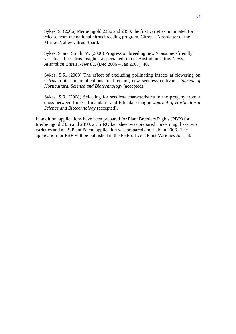Sykes, S. (2006) Merbeingold 2336 and 2350; the first varieties nominated for release from the national citrus breeding program. Citrep – Newsletter of the Murray Valley Citrus Board.

Sykes, S. and Smith, M. (2006) Progress on breeding new 'consumer-friendly' varieties. In: Citrus Insight – a special edition of Australian Citrus News. *Australian Citrus News* 82, (Dec 2006 – Jan 2007), 40.

Sykes, S.R. (2008) The effect of excluding pollinating insects at flowering on *Citrus* fruits and implications for breeding new seedless cultivars. *Journal of Horticultural Science and Biotechnology* (accepted).

Sykes, S.R. (2008) Selecting for seedless characteristics in the progeny from a cross between Imperial mandarin and Ellendale tangor. *Journal of Horticultural Science and Biotechnology* (accepted).

In addition, applications have been prepared for Plant Breeders Rights (PBR) for Merbeingold 2336 and 2350, a CSIRO fact sheet was prepared concerning these two varieties and a US Plant Patent application was prepared and field in 2006. The application for PBR will be published in the PBR office's Plant Varieties Journal.